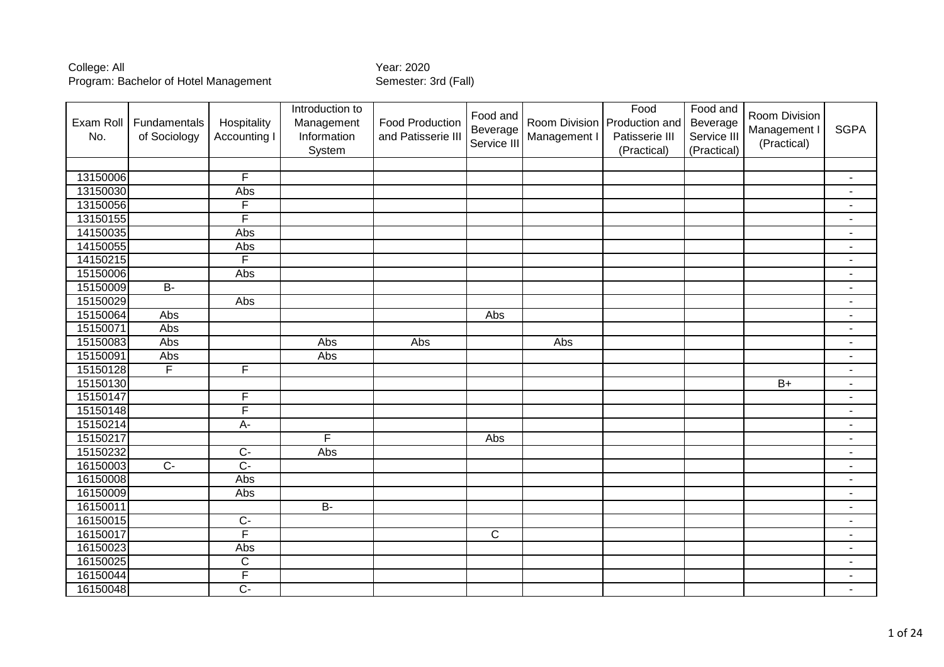| Exam Roll<br>No. | Fundamentals<br>of Sociology | Hospitality<br>Accounting I | Introduction to<br>Management<br>Information<br>System | <b>Food Production</b><br>and Patisserie III | Food and<br>Beverage<br>Service III | Management I | Food<br>Room Division   Production and<br>Patisserie III<br>(Practical) | Food and<br>Beverage<br>Service III<br>(Practical) | Room Division<br>Management I<br>(Practical) | <b>SGPA</b>              |
|------------------|------------------------------|-----------------------------|--------------------------------------------------------|----------------------------------------------|-------------------------------------|--------------|-------------------------------------------------------------------------|----------------------------------------------------|----------------------------------------------|--------------------------|
|                  |                              |                             |                                                        |                                              |                                     |              |                                                                         |                                                    |                                              |                          |
| 13150006         |                              | F                           |                                                        |                                              |                                     |              |                                                                         |                                                    |                                              | $\blacksquare$           |
| 13150030         |                              | Abs                         |                                                        |                                              |                                     |              |                                                                         |                                                    |                                              | $\blacksquare$           |
| 13150056         |                              | F                           |                                                        |                                              |                                     |              |                                                                         |                                                    |                                              | $\overline{a}$           |
| 13150155         |                              | F                           |                                                        |                                              |                                     |              |                                                                         |                                                    |                                              | $\blacksquare$           |
| 14150035         |                              | Abs                         |                                                        |                                              |                                     |              |                                                                         |                                                    |                                              | $\sim$                   |
| 14150055         |                              | Abs                         |                                                        |                                              |                                     |              |                                                                         |                                                    |                                              | $\blacksquare$           |
| 14150215         |                              | $\overline{\mathsf{F}}$     |                                                        |                                              |                                     |              |                                                                         |                                                    |                                              | $\overline{a}$           |
| 15150006         |                              | Abs                         |                                                        |                                              |                                     |              |                                                                         |                                                    |                                              | $\overline{a}$           |
| 15150009         | $B -$                        |                             |                                                        |                                              |                                     |              |                                                                         |                                                    |                                              | $\overline{\phantom{a}}$ |
| 15150029         |                              | Abs                         |                                                        |                                              |                                     |              |                                                                         |                                                    |                                              | $\blacksquare$           |
| 15150064         | Abs                          |                             |                                                        |                                              | Abs                                 |              |                                                                         |                                                    |                                              | $\blacksquare$           |
| 15150071         | Abs                          |                             |                                                        |                                              |                                     |              |                                                                         |                                                    |                                              | $\blacksquare$           |
| 15150083         | Abs                          |                             | Abs                                                    | Abs                                          |                                     | Abs          |                                                                         |                                                    |                                              | $\blacksquare$           |
| 15150091         | Abs                          |                             | Abs                                                    |                                              |                                     |              |                                                                         |                                                    |                                              | $\blacksquare$           |
| 15150128         | $\overline{\mathsf{F}}$      | F                           |                                                        |                                              |                                     |              |                                                                         |                                                    |                                              | $\blacksquare$           |
| 15150130         |                              |                             |                                                        |                                              |                                     |              |                                                                         |                                                    | $\overline{B+}$                              | $\blacksquare$           |
| 15150147         |                              | F                           |                                                        |                                              |                                     |              |                                                                         |                                                    |                                              | $\blacksquare$           |
| 15150148         |                              | F                           |                                                        |                                              |                                     |              |                                                                         |                                                    |                                              | $\blacksquare$           |
| 15150214         |                              | $A -$                       |                                                        |                                              |                                     |              |                                                                         |                                                    |                                              | $\blacksquare$           |
| 15150217         |                              |                             | F                                                      |                                              | Abs                                 |              |                                                                         |                                                    |                                              | $\blacksquare$           |
| 15150232         |                              | $\overline{C}$              | Abs                                                    |                                              |                                     |              |                                                                         |                                                    |                                              | $\blacksquare$           |
| 16150003         | $\overline{C}$               | $\overline{C}$              |                                                        |                                              |                                     |              |                                                                         |                                                    |                                              | $\overline{a}$           |
| 16150008         |                              | Abs                         |                                                        |                                              |                                     |              |                                                                         |                                                    |                                              | $\blacksquare$           |
| 16150009         |                              | Abs                         |                                                        |                                              |                                     |              |                                                                         |                                                    |                                              | $\blacksquare$           |
| 16150011         |                              |                             | $\overline{B}$                                         |                                              |                                     |              |                                                                         |                                                    |                                              | $\blacksquare$           |
| 16150015         |                              | $C -$                       |                                                        |                                              |                                     |              |                                                                         |                                                    |                                              | $\blacksquare$           |
| 16150017         |                              | F                           |                                                        |                                              | $\mathsf{C}$                        |              |                                                                         |                                                    |                                              | $\blacksquare$           |
| 16150023         |                              | Abs                         |                                                        |                                              |                                     |              |                                                                         |                                                    |                                              | $\blacksquare$           |
| 16150025         |                              | $\overline{C}$              |                                                        |                                              |                                     |              |                                                                         |                                                    |                                              | $\blacksquare$           |
| 16150044         |                              | $\overline{F}$              |                                                        |                                              |                                     |              |                                                                         |                                                    |                                              | $\blacksquare$           |
| 16150048         |                              | $\overline{C}$              |                                                        |                                              |                                     |              |                                                                         |                                                    |                                              | $\blacksquare$           |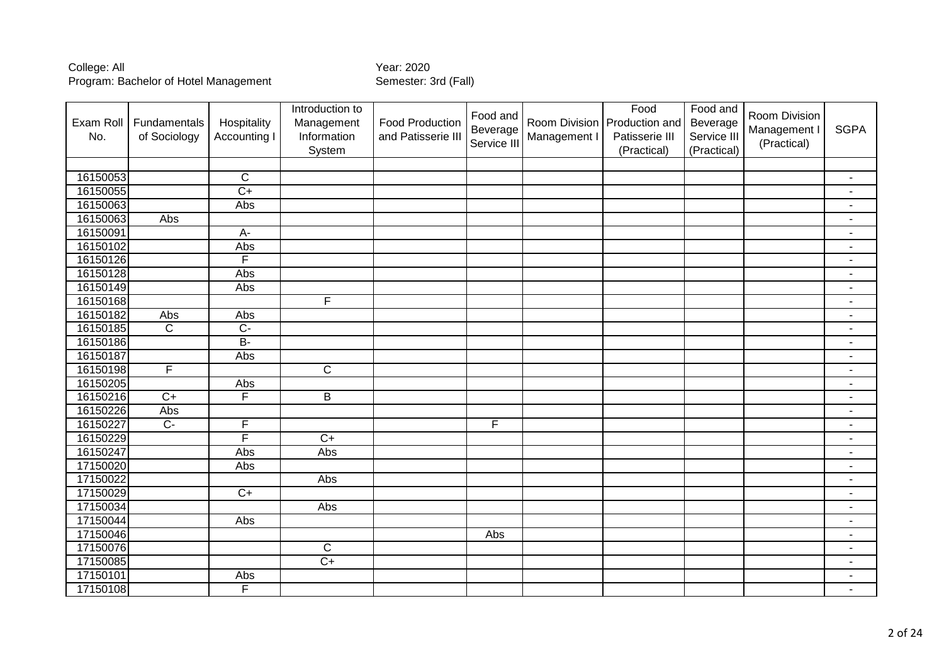| Exam Roll<br>No. | Fundamentals<br>of Sociology | Hospitality<br>Accounting I | Introduction to<br>Management<br>Information<br>System | <b>Food Production</b><br>and Patisserie III | Food and<br>Beverage<br>Service III | Management I | Food<br>Room Division   Production and<br>Patisserie III<br>(Practical) | Food and<br>Beverage<br>Service III<br>(Practical) | Room Division<br>Management I<br>(Practical) | <b>SGPA</b>              |
|------------------|------------------------------|-----------------------------|--------------------------------------------------------|----------------------------------------------|-------------------------------------|--------------|-------------------------------------------------------------------------|----------------------------------------------------|----------------------------------------------|--------------------------|
|                  |                              |                             |                                                        |                                              |                                     |              |                                                                         |                                                    |                                              |                          |
| 16150053         |                              | $\mathsf{C}$                |                                                        |                                              |                                     |              |                                                                         |                                                    |                                              | $\blacksquare$           |
| 16150055         |                              | $\overline{C+}$             |                                                        |                                              |                                     |              |                                                                         |                                                    |                                              | $\blacksquare$           |
| 16150063         |                              | Abs                         |                                                        |                                              |                                     |              |                                                                         |                                                    |                                              |                          |
| 16150063         | Abs                          |                             |                                                        |                                              |                                     |              |                                                                         |                                                    |                                              | $\blacksquare$           |
| 16150091         |                              | $A -$                       |                                                        |                                              |                                     |              |                                                                         |                                                    |                                              | $\overline{\phantom{a}}$ |
| 16150102         |                              | Abs                         |                                                        |                                              |                                     |              |                                                                         |                                                    |                                              | $\blacksquare$           |
| 16150126         |                              | F                           |                                                        |                                              |                                     |              |                                                                         |                                                    |                                              | $\overline{a}$           |
| 16150128         |                              | Abs                         |                                                        |                                              |                                     |              |                                                                         |                                                    |                                              | $\blacksquare$           |
| 16150149         |                              | Abs                         |                                                        |                                              |                                     |              |                                                                         |                                                    |                                              | $\blacksquare$           |
| 16150168         |                              |                             | F                                                      |                                              |                                     |              |                                                                         |                                                    |                                              | $\blacksquare$           |
| 16150182         | Abs                          | Abs                         |                                                        |                                              |                                     |              |                                                                         |                                                    |                                              | $\blacksquare$           |
| 16150185         | $\overline{C}$               | $\overline{C}$              |                                                        |                                              |                                     |              |                                                                         |                                                    |                                              | $\blacksquare$           |
| 16150186         |                              | $B -$                       |                                                        |                                              |                                     |              |                                                                         |                                                    |                                              | $\blacksquare$           |
| 16150187         |                              | Abs                         |                                                        |                                              |                                     |              |                                                                         |                                                    |                                              | $\blacksquare$           |
| 16150198         | $\overline{F}$               |                             | $\overline{C}$                                         |                                              |                                     |              |                                                                         |                                                    |                                              | $\blacksquare$           |
| 16150205         |                              | Abs                         |                                                        |                                              |                                     |              |                                                                         |                                                    |                                              | $\blacksquare$           |
| 16150216         | $\overline{C+}$              | F                           | $\overline{B}$                                         |                                              |                                     |              |                                                                         |                                                    |                                              | $\blacksquare$           |
| 16150226         | Abs                          |                             |                                                        |                                              |                                     |              |                                                                         |                                                    |                                              | ٠                        |
| 16150227         | $\overline{C}$               | F                           |                                                        |                                              | $\overline{F}$                      |              |                                                                         |                                                    |                                              | $\blacksquare$           |
| 16150229         |                              | F                           | $C+$                                                   |                                              |                                     |              |                                                                         |                                                    |                                              |                          |
| 16150247         |                              | Abs                         | Abs                                                    |                                              |                                     |              |                                                                         |                                                    |                                              | $\blacksquare$           |
| 17150020         |                              | Abs                         |                                                        |                                              |                                     |              |                                                                         |                                                    |                                              | $\overline{a}$           |
| 17150022         |                              |                             | Abs                                                    |                                              |                                     |              |                                                                         |                                                    |                                              | $\overline{a}$           |
| 17150029         |                              | $C+$                        |                                                        |                                              |                                     |              |                                                                         |                                                    |                                              | $\blacksquare$           |
| 17150034         |                              |                             | Abs                                                    |                                              |                                     |              |                                                                         |                                                    |                                              | $\blacksquare$           |
| 17150044         |                              | Abs                         |                                                        |                                              |                                     |              |                                                                         |                                                    |                                              | $\blacksquare$           |
| 17150046         |                              |                             |                                                        |                                              | Abs                                 |              |                                                                         |                                                    |                                              | $\blacksquare$           |
| 17150076         |                              |                             | $\mathsf C$                                            |                                              |                                     |              |                                                                         |                                                    |                                              | $\overline{\phantom{a}}$ |
| 17150085         |                              |                             | $C+$                                                   |                                              |                                     |              |                                                                         |                                                    |                                              | $\overline{\phantom{a}}$ |
| 17150101         |                              | Abs                         |                                                        |                                              |                                     |              |                                                                         |                                                    |                                              | $\blacksquare$           |
| 17150108         |                              | F                           |                                                        |                                              |                                     |              |                                                                         |                                                    |                                              | $\blacksquare$           |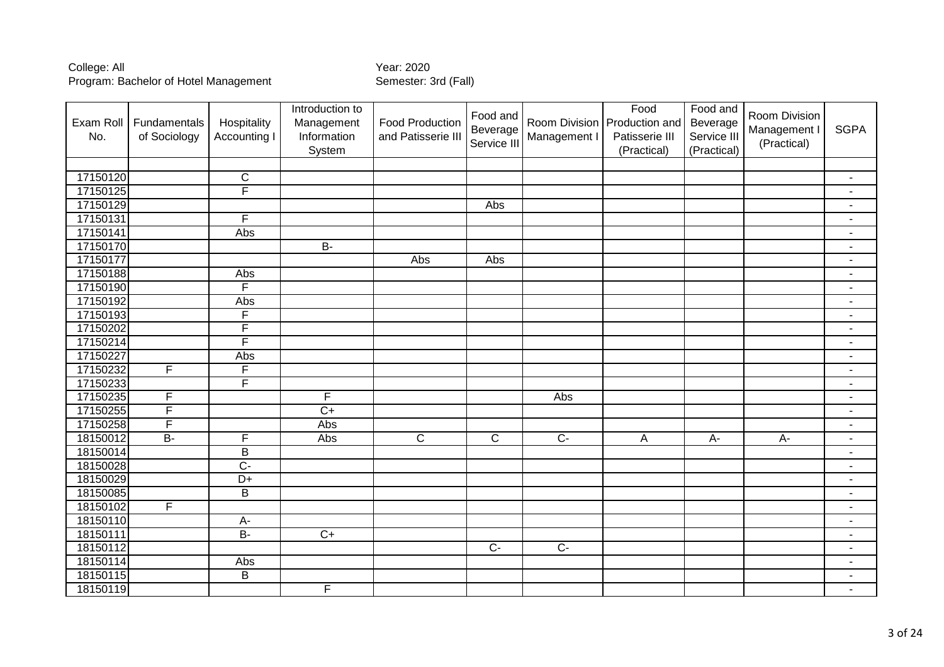| Exam Roll<br>No. | Fundamentals<br>of Sociology | Hospitality<br>Accounting | Introduction to<br>Management<br>Information<br>System | <b>Food Production</b><br>and Patisserie III | Food and<br>Beverage<br>Service III | Management I   | Food<br>Room Division   Production and<br>Patisserie III<br>(Practical) | Food and<br>Beverage<br>Service III<br>(Practical) | Room Division<br>Management I<br>(Practical) | <b>SGPA</b>              |
|------------------|------------------------------|---------------------------|--------------------------------------------------------|----------------------------------------------|-------------------------------------|----------------|-------------------------------------------------------------------------|----------------------------------------------------|----------------------------------------------|--------------------------|
|                  |                              |                           |                                                        |                                              |                                     |                |                                                                         |                                                    |                                              |                          |
| 17150120         |                              | $\mathsf C$               |                                                        |                                              |                                     |                |                                                                         |                                                    |                                              | $\overline{\phantom{a}}$ |
| 17150125         |                              | F                         |                                                        |                                              |                                     |                |                                                                         |                                                    |                                              | $\blacksquare$           |
| 17150129         |                              |                           |                                                        |                                              | Abs                                 |                |                                                                         |                                                    |                                              | ٠                        |
| 17150131         |                              | F                         |                                                        |                                              |                                     |                |                                                                         |                                                    |                                              | $\blacksquare$           |
| 17150141         |                              | Abs                       |                                                        |                                              |                                     |                |                                                                         |                                                    |                                              |                          |
| 17150170         |                              |                           | $B -$                                                  |                                              |                                     |                |                                                                         |                                                    |                                              | $\blacksquare$           |
| 17150177         |                              |                           |                                                        | Abs                                          | Abs                                 |                |                                                                         |                                                    |                                              | $\blacksquare$           |
| 17150188         |                              | Abs                       |                                                        |                                              |                                     |                |                                                                         |                                                    |                                              | $\overline{a}$           |
| 17150190         |                              | F                         |                                                        |                                              |                                     |                |                                                                         |                                                    |                                              | $\blacksquare$           |
| 17150192         |                              | Abs                       |                                                        |                                              |                                     |                |                                                                         |                                                    |                                              | $\overline{\phantom{a}}$ |
| 17150193         |                              | F                         |                                                        |                                              |                                     |                |                                                                         |                                                    |                                              | $\blacksquare$           |
| 17150202         |                              | $\overline{F}$            |                                                        |                                              |                                     |                |                                                                         |                                                    |                                              | $\blacksquare$           |
| 17150214         |                              | F                         |                                                        |                                              |                                     |                |                                                                         |                                                    |                                              | $\blacksquare$           |
| 17150227         |                              | Abs                       |                                                        |                                              |                                     |                |                                                                         |                                                    |                                              | $\blacksquare$           |
| 17150232         | F                            | $\overline{\mathsf{F}}$   |                                                        |                                              |                                     |                |                                                                         |                                                    |                                              | $\blacksquare$           |
| 17150233         |                              | $\overline{\mathsf{F}}$   |                                                        |                                              |                                     |                |                                                                         |                                                    |                                              | $\blacksquare$           |
| 17150235         | F                            |                           | F                                                      |                                              |                                     | Abs            |                                                                         |                                                    |                                              | $\blacksquare$           |
| 17150255         | F                            |                           | $\overline{C}$                                         |                                              |                                     |                |                                                                         |                                                    |                                              | $\blacksquare$           |
| 17150258         | F                            |                           | Abs                                                    |                                              |                                     |                |                                                                         |                                                    |                                              | $\blacksquare$           |
| 18150012         | $\overline{B}$               | F                         | Abs                                                    | $\overline{\text{c}}$                        | $\overline{C}$                      | $\overline{C}$ | $\overline{A}$                                                          | $A -$                                              | $A -$                                        | $\blacksquare$           |
| 18150014         |                              | $\overline{B}$            |                                                        |                                              |                                     |                |                                                                         |                                                    |                                              | $\overline{\phantom{a}}$ |
| 18150028         |                              | $\overline{C}$            |                                                        |                                              |                                     |                |                                                                         |                                                    |                                              | $\blacksquare$           |
| 18150029         |                              | $\overline{D+}$           |                                                        |                                              |                                     |                |                                                                         |                                                    |                                              | $\blacksquare$           |
| 18150085         |                              | $\overline{B}$            |                                                        |                                              |                                     |                |                                                                         |                                                    |                                              | $\overline{a}$           |
| 18150102         | F                            |                           |                                                        |                                              |                                     |                |                                                                         |                                                    |                                              | $\blacksquare$           |
| 18150110         |                              | A-                        |                                                        |                                              |                                     |                |                                                                         |                                                    |                                              | $\blacksquare$           |
| 18150111         |                              | $B -$                     | $\overline{C+}$                                        |                                              |                                     |                |                                                                         |                                                    |                                              | $\blacksquare$           |
| 18150112         |                              |                           |                                                        |                                              | $\overline{C}$                      | $\overline{C}$ |                                                                         |                                                    |                                              | $\blacksquare$           |
| 18150114         |                              | Abs                       |                                                        |                                              |                                     |                |                                                                         |                                                    |                                              | $\overline{\phantom{a}}$ |
| 18150115         |                              | $\overline{B}$            |                                                        |                                              |                                     |                |                                                                         |                                                    |                                              | $\overline{\phantom{a}}$ |
| 18150119         |                              |                           | F                                                      |                                              |                                     |                |                                                                         |                                                    |                                              | $\blacksquare$           |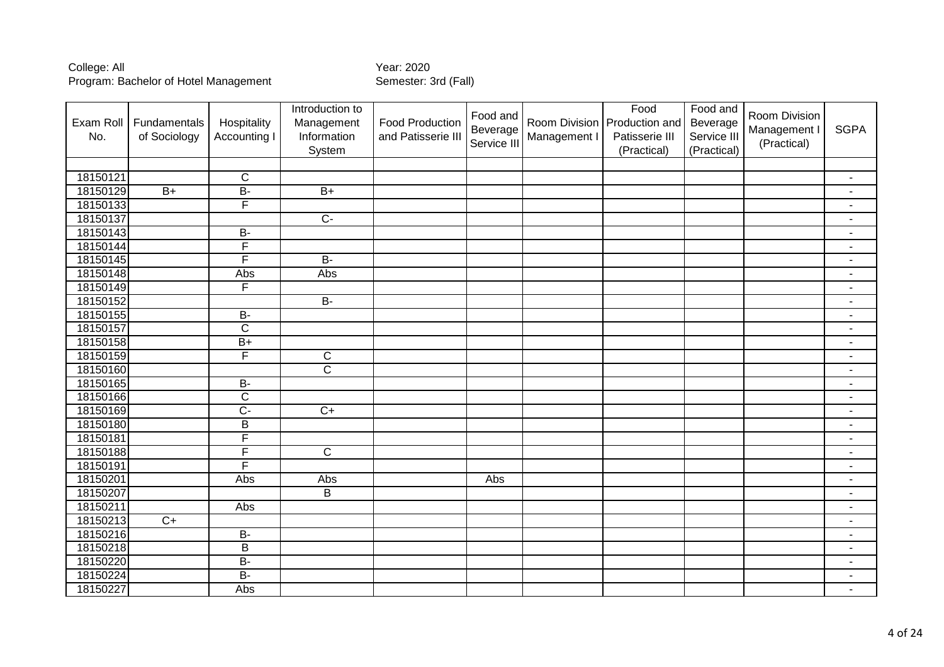| Exam Roll<br>No. | Fundamentals<br>of Sociology | Hospitality<br>Accounting I | Introduction to<br>Management<br>Information<br>System | <b>Food Production</b><br>and Patisserie III | Food and<br>Beverage<br>Service III | Management I | Food<br>Room Division   Production and<br>Patisserie III<br>(Practical) | Food and<br>Beverage<br>Service III<br>(Practical) | Room Division<br>Management I<br>(Practical) | <b>SGPA</b>              |
|------------------|------------------------------|-----------------------------|--------------------------------------------------------|----------------------------------------------|-------------------------------------|--------------|-------------------------------------------------------------------------|----------------------------------------------------|----------------------------------------------|--------------------------|
|                  |                              |                             |                                                        |                                              |                                     |              |                                                                         |                                                    |                                              |                          |
| 18150121         |                              | $\mathsf{C}$                |                                                        |                                              |                                     |              |                                                                         |                                                    |                                              | $\blacksquare$           |
| 18150129         | $B+$                         | $B -$                       | $B+$                                                   |                                              |                                     |              |                                                                         |                                                    |                                              | $\blacksquare$           |
| 18150133         |                              | F                           |                                                        |                                              |                                     |              |                                                                         |                                                    |                                              | $\overline{a}$           |
| 18150137         |                              |                             | $\overline{C}$                                         |                                              |                                     |              |                                                                         |                                                    |                                              | $\blacksquare$           |
| 18150143         |                              | $\overline{B}$              |                                                        |                                              |                                     |              |                                                                         |                                                    |                                              | $\blacksquare$           |
| 18150144         |                              | F                           |                                                        |                                              |                                     |              |                                                                         |                                                    |                                              | $\blacksquare$           |
| 18150145         |                              | F                           | $B -$                                                  |                                              |                                     |              |                                                                         |                                                    |                                              | $\blacksquare$           |
| 18150148         |                              | Abs                         | Abs                                                    |                                              |                                     |              |                                                                         |                                                    |                                              | $\blacksquare$           |
| 18150149         |                              | F                           |                                                        |                                              |                                     |              |                                                                         |                                                    |                                              | $\blacksquare$           |
| 18150152         |                              |                             | <b>B-</b>                                              |                                              |                                     |              |                                                                         |                                                    |                                              | $\overline{\phantom{a}}$ |
| 18150155         |                              | $B -$                       |                                                        |                                              |                                     |              |                                                                         |                                                    |                                              | $\blacksquare$           |
| 18150157         |                              | $\overline{\text{c}}$       |                                                        |                                              |                                     |              |                                                                         |                                                    |                                              | $\blacksquare$           |
| 18150158         |                              | $B+$                        |                                                        |                                              |                                     |              |                                                                         |                                                    |                                              | $\blacksquare$           |
| 18150159         |                              | F                           | $\overline{C}$                                         |                                              |                                     |              |                                                                         |                                                    |                                              | $\blacksquare$           |
| 18150160         |                              |                             | $\overline{\mathsf{c}}$                                |                                              |                                     |              |                                                                         |                                                    |                                              | $\blacksquare$           |
| 18150165         |                              | $\overline{B}$              |                                                        |                                              |                                     |              |                                                                         |                                                    |                                              | $\overline{\phantom{a}}$ |
| 18150166         |                              | $\overline{\text{c}}$       |                                                        |                                              |                                     |              |                                                                         |                                                    |                                              | $\blacksquare$           |
| 18150169         |                              | $\overline{C}$              | $\overline{C+}$                                        |                                              |                                     |              |                                                                         |                                                    |                                              | $\blacksquare$           |
| 18150180         |                              | $\sf B$                     |                                                        |                                              |                                     |              |                                                                         |                                                    |                                              |                          |
| 18150181         |                              | F                           |                                                        |                                              |                                     |              |                                                                         |                                                    |                                              | $\blacksquare$           |
| 18150188         |                              | F                           | $\overline{\mathsf{C}}$                                |                                              |                                     |              |                                                                         |                                                    |                                              | $\blacksquare$           |
| 18150191         |                              | F                           |                                                        |                                              |                                     |              |                                                                         |                                                    |                                              | $\overline{a}$           |
| 18150201         |                              | Abs                         | Abs                                                    |                                              | Abs                                 |              |                                                                         |                                                    |                                              | $\blacksquare$           |
| 18150207         |                              |                             | $\sf B$                                                |                                              |                                     |              |                                                                         |                                                    |                                              | $\blacksquare$           |
| 18150211         |                              | Abs                         |                                                        |                                              |                                     |              |                                                                         |                                                    |                                              | $\blacksquare$           |
| 18150213         | $C+$                         |                             |                                                        |                                              |                                     |              |                                                                         |                                                    |                                              | $\blacksquare$           |
| 18150216         |                              | <b>B-</b>                   |                                                        |                                              |                                     |              |                                                                         |                                                    |                                              | $\blacksquare$           |
| 18150218         |                              | $\overline{B}$              |                                                        |                                              |                                     |              |                                                                         |                                                    |                                              | $\blacksquare$           |
| 18150220         |                              | $B -$                       |                                                        |                                              |                                     |              |                                                                         |                                                    |                                              | $\blacksquare$           |
| 18150224         |                              | $B -$                       |                                                        |                                              |                                     |              |                                                                         |                                                    |                                              | $\blacksquare$           |
| 18150227         |                              | Abs                         |                                                        |                                              |                                     |              |                                                                         |                                                    |                                              | $\blacksquare$           |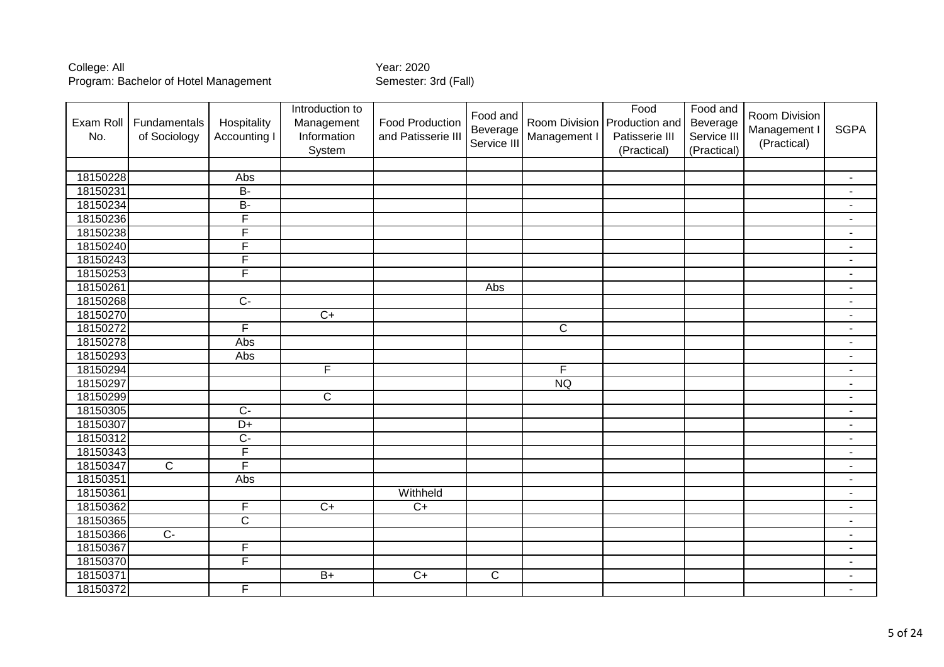| Exam Roll<br>No. | Fundamentals<br>of Sociology | Hospitality<br>Accounting I | Introduction to<br>Management<br>Information<br>System | <b>Food Production</b><br>and Patisserie III | Food and<br>Beverage<br>Service III | Management I   | Food<br>Room Division   Production and<br>Patisserie III<br>(Practical) | Food and<br>Beverage<br>Service III<br>(Practical) | Room Division<br>Management I<br>(Practical) | <b>SGPA</b>              |
|------------------|------------------------------|-----------------------------|--------------------------------------------------------|----------------------------------------------|-------------------------------------|----------------|-------------------------------------------------------------------------|----------------------------------------------------|----------------------------------------------|--------------------------|
|                  |                              |                             |                                                        |                                              |                                     |                |                                                                         |                                                    |                                              |                          |
| 18150228         |                              | Abs                         |                                                        |                                              |                                     |                |                                                                         |                                                    |                                              | $\blacksquare$           |
| 18150231         |                              | $B -$                       |                                                        |                                              |                                     |                |                                                                         |                                                    |                                              | $\blacksquare$           |
| 18150234         |                              | <b>B-</b>                   |                                                        |                                              |                                     |                |                                                                         |                                                    |                                              |                          |
| 18150236         |                              | $\overline{\mathsf{F}}$     |                                                        |                                              |                                     |                |                                                                         |                                                    |                                              | $\overline{\phantom{a}}$ |
| 18150238         |                              | F                           |                                                        |                                              |                                     |                |                                                                         |                                                    |                                              | $\overline{\phantom{a}}$ |
| 18150240         |                              | F                           |                                                        |                                              |                                     |                |                                                                         |                                                    |                                              | $\blacksquare$           |
| 18150243         |                              | F                           |                                                        |                                              |                                     |                |                                                                         |                                                    |                                              | $\overline{a}$           |
| 18150253         |                              | F                           |                                                        |                                              |                                     |                |                                                                         |                                                    |                                              | $\blacksquare$           |
| 18150261         |                              |                             |                                                        |                                              | Abs                                 |                |                                                                         |                                                    |                                              | $\blacksquare$           |
| 18150268         |                              | $\overline{C}$              |                                                        |                                              |                                     |                |                                                                         |                                                    |                                              | $\blacksquare$           |
| 18150270         |                              |                             | $\overline{C+}$                                        |                                              |                                     |                |                                                                         |                                                    |                                              | $\blacksquare$           |
| 18150272         |                              | F                           |                                                        |                                              |                                     | $\overline{C}$ |                                                                         |                                                    |                                              | $\blacksquare$           |
| 18150278         |                              | Abs                         |                                                        |                                              |                                     |                |                                                                         |                                                    |                                              | $\blacksquare$           |
| 18150293         |                              | Abs                         |                                                        |                                              |                                     |                |                                                                         |                                                    |                                              | $\blacksquare$           |
| 18150294         |                              |                             | $\overline{F}$                                         |                                              |                                     | $\overline{F}$ |                                                                         |                                                    |                                              | $\blacksquare$           |
| 18150297         |                              |                             |                                                        |                                              |                                     | <b>NQ</b>      |                                                                         |                                                    |                                              | $\blacksquare$           |
| 18150299         |                              |                             | $\overline{\text{c}}$                                  |                                              |                                     |                |                                                                         |                                                    |                                              | $\blacksquare$           |
| 18150305         |                              | $\overline{C}$              |                                                        |                                              |                                     |                |                                                                         |                                                    |                                              | $\blacksquare$           |
| 18150307         |                              | $\overline{D+}$             |                                                        |                                              |                                     |                |                                                                         |                                                    |                                              | $\blacksquare$           |
| 18150312         |                              | $\overline{C}$              |                                                        |                                              |                                     |                |                                                                         |                                                    |                                              | $\overline{\phantom{a}}$ |
| 18150343         |                              | F                           |                                                        |                                              |                                     |                |                                                                         |                                                    |                                              | $\blacksquare$           |
| 18150347         | $\overline{C}$               | F                           |                                                        |                                              |                                     |                |                                                                         |                                                    |                                              | $\overline{a}$           |
| 18150351         |                              | Abs                         |                                                        |                                              |                                     |                |                                                                         |                                                    |                                              | $\blacksquare$           |
| 18150361         |                              |                             |                                                        | Withheld                                     |                                     |                |                                                                         |                                                    |                                              | $\blacksquare$           |
| 18150362         |                              | F                           | $\overline{C+}$                                        | $C+$                                         |                                     |                |                                                                         |                                                    |                                              | $\blacksquare$           |
| 18150365         |                              | $\overline{\text{c}}$       |                                                        |                                              |                                     |                |                                                                         |                                                    |                                              | $\blacksquare$           |
| 18150366         | $\overline{C}$               |                             |                                                        |                                              |                                     |                |                                                                         |                                                    |                                              | $\blacksquare$           |
| 18150367         |                              | $\mathsf F$                 |                                                        |                                              |                                     |                |                                                                         |                                                    |                                              | $\overline{\phantom{a}}$ |
| 18150370         |                              | F                           |                                                        |                                              |                                     |                |                                                                         |                                                    |                                              | $\overline{\phantom{a}}$ |
| 18150371         |                              |                             | $\overline{B+}$                                        | $\overline{C}$                               | $\mathsf{C}$                        |                |                                                                         |                                                    |                                              | $\blacksquare$           |
| 18150372         |                              | $\overline{F}$              |                                                        |                                              |                                     |                |                                                                         |                                                    |                                              | $\blacksquare$           |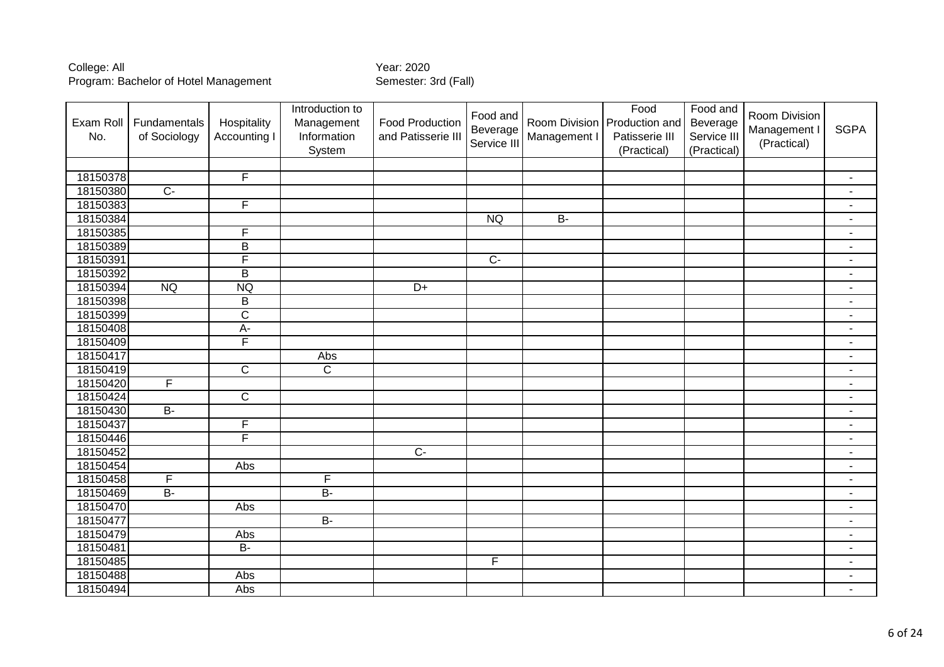| Exam Roll<br>No. | Fundamentals<br>of Sociology | Hospitality<br><b>Accounting I</b> | Introduction to<br>Management<br>Information<br>System | <b>Food Production</b><br>and Patisserie III | Food and<br>Beverage<br>Service III | Management I | Food<br>Room Division   Production and<br>Patisserie III<br>(Practical) | Food and<br>Beverage<br>Service III<br>(Practical) | Room Division<br>Management I<br>(Practical) | <b>SGPA</b>              |
|------------------|------------------------------|------------------------------------|--------------------------------------------------------|----------------------------------------------|-------------------------------------|--------------|-------------------------------------------------------------------------|----------------------------------------------------|----------------------------------------------|--------------------------|
|                  |                              |                                    |                                                        |                                              |                                     |              |                                                                         |                                                    |                                              |                          |
| 18150378         |                              | F                                  |                                                        |                                              |                                     |              |                                                                         |                                                    |                                              | $\blacksquare$           |
| 18150380         | $\overline{C}$ -             |                                    |                                                        |                                              |                                     |              |                                                                         |                                                    |                                              | $\blacksquare$           |
| 18150383         |                              | F                                  |                                                        |                                              |                                     |              |                                                                         |                                                    |                                              | $\overline{\phantom{a}}$ |
| 18150384         |                              |                                    |                                                        |                                              | <b>NQ</b>                           | $B -$        |                                                                         |                                                    |                                              | $\blacksquare$           |
| 18150385         |                              | F                                  |                                                        |                                              |                                     |              |                                                                         |                                                    |                                              |                          |
| 18150389         |                              | B                                  |                                                        |                                              |                                     |              |                                                                         |                                                    |                                              |                          |
| 18150391         |                              | F                                  |                                                        |                                              | $\overline{C}$                      |              |                                                                         |                                                    |                                              | $\blacksquare$           |
| 18150392         |                              | $\overline{B}$                     |                                                        |                                              |                                     |              |                                                                         |                                                    |                                              | $\blacksquare$           |
| 18150394         | <b>NQ</b>                    | <b>NQ</b>                          |                                                        | $\overline{D+}$                              |                                     |              |                                                                         |                                                    |                                              | $\blacksquare$           |
| 18150398         |                              | B                                  |                                                        |                                              |                                     |              |                                                                         |                                                    |                                              | $\blacksquare$           |
| 18150399         |                              | $\overline{C}$                     |                                                        |                                              |                                     |              |                                                                         |                                                    |                                              | $\blacksquare$           |
| 18150408         |                              | $A -$                              |                                                        |                                              |                                     |              |                                                                         |                                                    |                                              | $\blacksquare$           |
| 18150409         |                              | $\overline{\mathsf{F}}$            |                                                        |                                              |                                     |              |                                                                         |                                                    |                                              | $\blacksquare$           |
| 18150417         |                              |                                    | Abs                                                    |                                              |                                     |              |                                                                         |                                                    |                                              | $\blacksquare$           |
| 18150419         |                              | $\overline{C}$                     | $\overline{\mathsf{C}}$                                |                                              |                                     |              |                                                                         |                                                    |                                              | $\blacksquare$           |
| 18150420         | F                            |                                    |                                                        |                                              |                                     |              |                                                                         |                                                    |                                              | $\blacksquare$           |
| 18150424         |                              | $\overline{C}$                     |                                                        |                                              |                                     |              |                                                                         |                                                    |                                              | $\blacksquare$           |
| 18150430         | $B -$                        |                                    |                                                        |                                              |                                     |              |                                                                         |                                                    |                                              | $\blacksquare$           |
| 18150437         |                              | F                                  |                                                        |                                              |                                     |              |                                                                         |                                                    |                                              | $\overline{a}$           |
| 18150446         |                              | F                                  |                                                        |                                              |                                     |              |                                                                         |                                                    |                                              | $\blacksquare$           |
| 18150452         |                              |                                    |                                                        | $\overline{C}$                               |                                     |              |                                                                         |                                                    |                                              |                          |
| 18150454         |                              | Abs                                |                                                        |                                              |                                     |              |                                                                         |                                                    |                                              | $\blacksquare$           |
| 18150458         | F                            |                                    | F                                                      |                                              |                                     |              |                                                                         |                                                    |                                              | $\blacksquare$           |
| 18150469         | $\overline{B}$               |                                    | $B -$                                                  |                                              |                                     |              |                                                                         |                                                    |                                              | $\sim$                   |
| 18150470         |                              | Abs                                |                                                        |                                              |                                     |              |                                                                         |                                                    |                                              | $\overline{\phantom{a}}$ |
| 18150477         |                              |                                    | $B -$                                                  |                                              |                                     |              |                                                                         |                                                    |                                              | $\overline{\phantom{a}}$ |
| 18150479         |                              | Abs                                |                                                        |                                              |                                     |              |                                                                         |                                                    |                                              | $\blacksquare$           |
| 18150481         |                              | $B -$                              |                                                        |                                              |                                     |              |                                                                         |                                                    |                                              | $\blacksquare$           |
| 18150485         |                              |                                    |                                                        |                                              | F                                   |              |                                                                         |                                                    |                                              | $\blacksquare$           |
| 18150488         |                              | Abs                                |                                                        |                                              |                                     |              |                                                                         |                                                    |                                              | $\blacksquare$           |
| 18150494         |                              | Abs                                |                                                        |                                              |                                     |              |                                                                         |                                                    |                                              | $\blacksquare$           |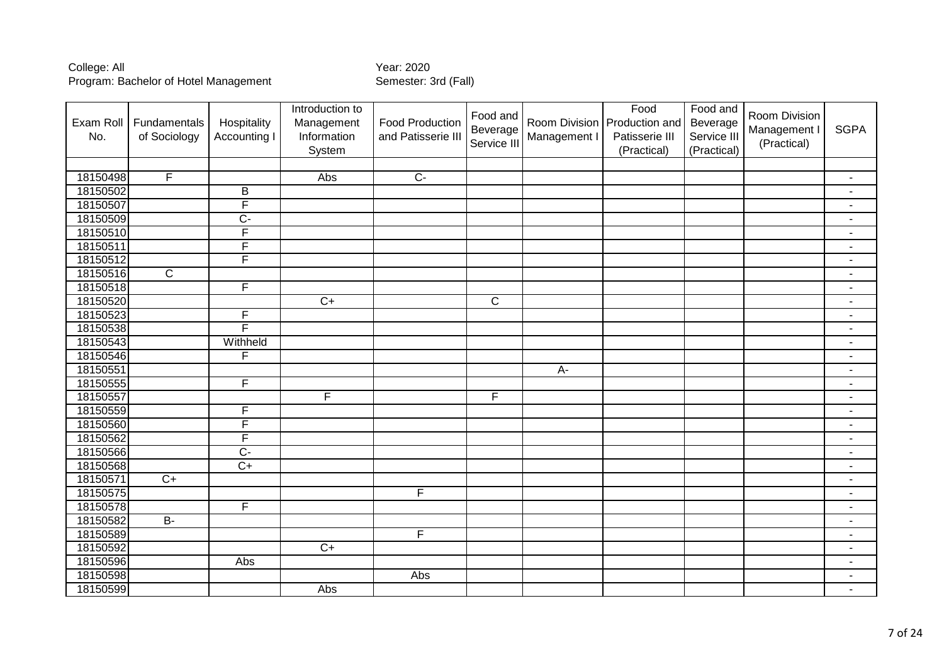| Exam Roll<br>No. | Fundamentals<br>of Sociology | Hospitality<br>Accounting I | Introduction to<br>Management<br>Information<br>System | <b>Food Production</b><br>and Patisserie III | Food and<br>Beverage<br>Service III | Management I | Food<br>Room Division Production and<br>Patisserie III<br>(Practical) | Food and<br>Beverage<br>Service III<br>(Practical) | Room Division<br>Management I<br>(Practical) | <b>SGPA</b>              |
|------------------|------------------------------|-----------------------------|--------------------------------------------------------|----------------------------------------------|-------------------------------------|--------------|-----------------------------------------------------------------------|----------------------------------------------------|----------------------------------------------|--------------------------|
|                  |                              |                             |                                                        |                                              |                                     |              |                                                                       |                                                    |                                              |                          |
| 18150498         | $\overline{F}$               |                             | Abs                                                    | $\overline{C}$                               |                                     |              |                                                                       |                                                    |                                              | $\blacksquare$           |
| 18150502         |                              | B                           |                                                        |                                              |                                     |              |                                                                       |                                                    |                                              | $\blacksquare$           |
| 18150507         |                              | F                           |                                                        |                                              |                                     |              |                                                                       |                                                    |                                              | $\blacksquare$           |
| 18150509         |                              | $\overline{C}$              |                                                        |                                              |                                     |              |                                                                       |                                                    |                                              | $\blacksquare$           |
| 18150510         |                              | F                           |                                                        |                                              |                                     |              |                                                                       |                                                    |                                              | $\blacksquare$           |
| 18150511         |                              | F                           |                                                        |                                              |                                     |              |                                                                       |                                                    |                                              | $\blacksquare$           |
| 18150512         |                              | F                           |                                                        |                                              |                                     |              |                                                                       |                                                    |                                              | $\blacksquare$           |
| 18150516         | $\overline{\text{c}}$        |                             |                                                        |                                              |                                     |              |                                                                       |                                                    |                                              | $\blacksquare$           |
| 18150518         |                              | F                           |                                                        |                                              |                                     |              |                                                                       |                                                    |                                              | $\blacksquare$           |
| 18150520         |                              |                             | $\overline{C}$                                         |                                              | $\mathsf C$                         |              |                                                                       |                                                    |                                              | $\blacksquare$           |
| 18150523         |                              | F                           |                                                        |                                              |                                     |              |                                                                       |                                                    |                                              | $\blacksquare$           |
| 18150538         |                              | F                           |                                                        |                                              |                                     |              |                                                                       |                                                    |                                              | $\blacksquare$           |
| 18150543         |                              | Withheld                    |                                                        |                                              |                                     |              |                                                                       |                                                    |                                              | $\blacksquare$           |
| 18150546         |                              | F                           |                                                        |                                              |                                     |              |                                                                       |                                                    |                                              | $\blacksquare$           |
| 18150551         |                              |                             |                                                        |                                              |                                     | A-           |                                                                       |                                                    |                                              | $\blacksquare$           |
| 18150555         |                              | F                           |                                                        |                                              |                                     |              |                                                                       |                                                    |                                              | $\blacksquare$           |
| 18150557         |                              |                             | F                                                      |                                              | F                                   |              |                                                                       |                                                    |                                              | $\blacksquare$           |
| 18150559         |                              | F                           |                                                        |                                              |                                     |              |                                                                       |                                                    |                                              | $\blacksquare$           |
| 18150560         |                              | F                           |                                                        |                                              |                                     |              |                                                                       |                                                    |                                              | $\blacksquare$           |
| 18150562         |                              | F                           |                                                        |                                              |                                     |              |                                                                       |                                                    |                                              | $\overline{\phantom{a}}$ |
| 18150566         |                              | $\overline{C}$              |                                                        |                                              |                                     |              |                                                                       |                                                    |                                              | $\blacksquare$           |
| 18150568         |                              | $\overline{C+}$             |                                                        |                                              |                                     |              |                                                                       |                                                    |                                              | $\blacksquare$           |
| 18150571         | $\overline{C+}$              |                             |                                                        |                                              |                                     |              |                                                                       |                                                    |                                              | $\blacksquare$           |
| 18150575         |                              |                             |                                                        | F                                            |                                     |              |                                                                       |                                                    |                                              | $\blacksquare$           |
| 18150578         |                              | F                           |                                                        |                                              |                                     |              |                                                                       |                                                    |                                              | $\blacksquare$           |
| 18150582         | $B -$                        |                             |                                                        |                                              |                                     |              |                                                                       |                                                    |                                              | $\blacksquare$           |
| 18150589         |                              |                             |                                                        | $\overline{F}$                               |                                     |              |                                                                       |                                                    |                                              | $\overline{\phantom{a}}$ |
| 18150592         |                              |                             | $\overline{C}$                                         |                                              |                                     |              |                                                                       |                                                    |                                              | $\blacksquare$           |
| 18150596         |                              | <b>Abs</b>                  |                                                        |                                              |                                     |              |                                                                       |                                                    |                                              | $\blacksquare$           |
| 18150598         |                              |                             |                                                        | Abs                                          |                                     |              |                                                                       |                                                    |                                              | $\blacksquare$           |
| 18150599         |                              |                             | Abs                                                    |                                              |                                     |              |                                                                       |                                                    |                                              | $\blacksquare$           |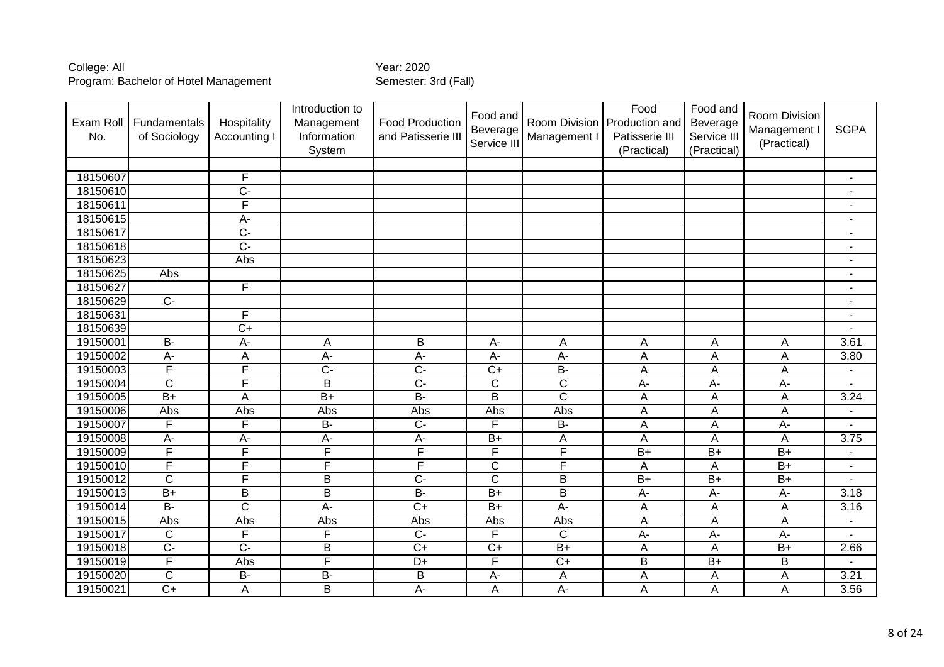| Exam Roll<br>No. | Fundamentals<br>of Sociology | Hospitality<br><b>Accounting I</b> | Introduction to<br>Management<br>Information<br>System | <b>Food Production</b><br>and Patisserie III | Food and<br>Beverage<br>Service III | Management I          | Food<br>Room Division Production and<br>Patisserie III<br>(Practical) | Food and<br>Beverage<br>Service III<br>(Practical) | Room Division<br>Management I<br>(Practical) | <b>SGPA</b>              |
|------------------|------------------------------|------------------------------------|--------------------------------------------------------|----------------------------------------------|-------------------------------------|-----------------------|-----------------------------------------------------------------------|----------------------------------------------------|----------------------------------------------|--------------------------|
|                  |                              |                                    |                                                        |                                              |                                     |                       |                                                                       |                                                    |                                              |                          |
| 18150607         |                              | F                                  |                                                        |                                              |                                     |                       |                                                                       |                                                    |                                              | $\blacksquare$           |
| 18150610         |                              | $\overline{C}$                     |                                                        |                                              |                                     |                       |                                                                       |                                                    |                                              |                          |
| 18150611         |                              | F                                  |                                                        |                                              |                                     |                       |                                                                       |                                                    |                                              |                          |
| 18150615         |                              | A-                                 |                                                        |                                              |                                     |                       |                                                                       |                                                    |                                              | $\blacksquare$           |
| 18150617         |                              | $\overline{C}$                     |                                                        |                                              |                                     |                       |                                                                       |                                                    |                                              | $\blacksquare$           |
| 18150618         |                              | $\overline{C}$                     |                                                        |                                              |                                     |                       |                                                                       |                                                    |                                              | $\blacksquare$           |
| 18150623         |                              | Abs                                |                                                        |                                              |                                     |                       |                                                                       |                                                    |                                              | $\blacksquare$           |
| 18150625         | Abs                          |                                    |                                                        |                                              |                                     |                       |                                                                       |                                                    |                                              | $\blacksquare$           |
| 18150627         |                              | F                                  |                                                        |                                              |                                     |                       |                                                                       |                                                    |                                              | $\overline{\phantom{a}}$ |
| 18150629         | $\overline{C}$               |                                    |                                                        |                                              |                                     |                       |                                                                       |                                                    |                                              | $\blacksquare$           |
| 18150631         |                              | F                                  |                                                        |                                              |                                     |                       |                                                                       |                                                    |                                              | $\blacksquare$           |
| 18150639         |                              | $\overline{C+}$                    |                                                        |                                              |                                     |                       |                                                                       |                                                    |                                              |                          |
| 19150001         | <b>B-</b>                    | A-                                 | A                                                      | B                                            | A-                                  | Α                     | Α                                                                     | Α                                                  | Α                                            | 3.61                     |
| 19150002         | $A-$                         | A                                  | $A -$                                                  | $A -$                                        | $A-$                                | A-                    | A                                                                     | A                                                  | Α                                            | 3.80                     |
| 19150003         | F                            | F                                  | $\overline{C}$                                         | $\overline{C}$                               | $\overline{C+}$                     | $\overline{B}$        | A                                                                     | A                                                  | A                                            | $\blacksquare$           |
| 19150004         | $\mathsf{C}$                 | F                                  | B                                                      | $\overline{C}$                               | $\mathsf C$                         | $\mathsf{C}$          | A-                                                                    | A-                                                 | A-                                           | $\blacksquare$           |
| 19150005         | $B+$                         | A                                  | $\overline{B+}$                                        | $B -$                                        | $\overline{\mathsf{B}}$             | $\overline{\text{c}}$ | A                                                                     | $\overline{A}$                                     | $\overline{A}$                               | 3.24                     |
| 19150006         | Abs                          | Abs                                | Abs                                                    | Abs                                          | Abs                                 | Abs                   | A                                                                     | A                                                  | A                                            |                          |
| 19150007         | F                            | F                                  | $B -$                                                  | $\overline{C}$                               | F                                   | $B -$                 | $\overline{A}$                                                        | A                                                  | A-                                           |                          |
| 19150008         | $\overline{A}$ -             | A-                                 | $\overline{A}$ -                                       | $\overline{A}$                               | $B+$                                | A                     | A                                                                     | A                                                  | A                                            | 3.75                     |
| 19150009         | F                            | F                                  | F                                                      | F                                            | F                                   | F                     | $\overline{B+}$                                                       | $\overline{B+}$                                    | $\overline{B+}$                              | $\blacksquare$           |
| 19150010         | F                            | F                                  | F                                                      | F                                            | $\overline{\text{c}}$               | F                     | A                                                                     | A                                                  | $\overline{B+}$                              | $\blacksquare$           |
| 19150012         | $\overline{\text{c}}$        | F                                  | $\overline{B}$                                         | $\overline{C}$                               | $\overline{\text{c}}$               | $\overline{B}$        | $\overline{B+}$                                                       | $\overline{B+}$                                    | $\overline{B+}$                              |                          |
| 19150013         | $B+$                         | B                                  | $\overline{B}$                                         | $B -$                                        | $\overline{B+}$                     | $\overline{B}$        | A-                                                                    | A-                                                 | A-                                           | 3.18                     |
| 19150014         | $\overline{B}$               | $\overline{\text{c}}$              | A-                                                     | $\overline{C}$                               | $\overline{B+}$                     | A-                    | Α                                                                     | Α                                                  | Α                                            | 3.16                     |
| 19150015         | Abs                          | Abs                                | Abs                                                    | Abs                                          | Abs                                 | Abs                   | $\overline{A}$                                                        | $\overline{A}$                                     | $\overline{A}$                               |                          |
| 19150017         | $\mathsf{C}$                 | F                                  | F                                                      | $\overline{C}$                               | $\overline{F}$                      | $\mathsf{C}$          | A-                                                                    | $A -$                                              | A-                                           |                          |
| 19150018         | $\overline{C}$               | $\overline{C}$                     | $\overline{B}$                                         | $\overline{C+}$                              | $\overline{C+}$                     | $\overline{B+}$       | A                                                                     | Α                                                  | $B+$                                         | 2.66                     |
| 19150019         | F                            | Abs                                | F                                                      | $\overline{D+}$                              | F                                   | $\overline{C+}$       | $\overline{B}$                                                        | $\overline{B+}$                                    | $\overline{\mathsf{B}}$                      | $\overline{\phantom{a}}$ |
| 19150020         | $\overline{C}$               | $\overline{B}$                     | $B -$                                                  | $\overline{B}$                               | $\overline{A}$ -                    | A                     | A                                                                     | A                                                  | A                                            | 3.21                     |
| 19150021         | $\overline{C}$               | A                                  | B                                                      | A-                                           | A                                   | $\overline{A}$        | A                                                                     | A                                                  | A                                            | 3.56                     |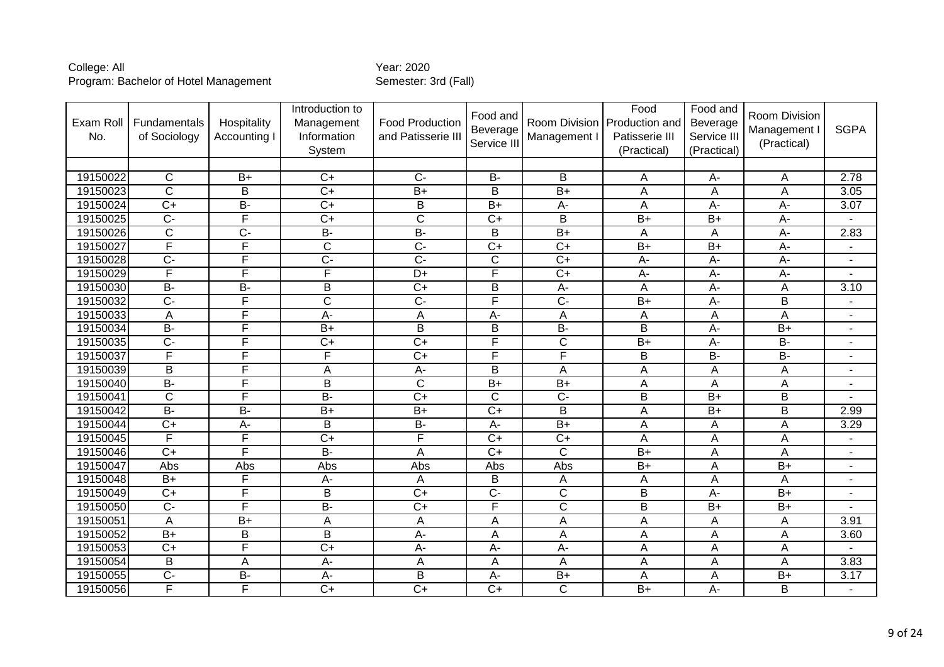| Exam Roll<br>No. | Fundamentals<br>of Sociology | Hospitality<br>Accounting I | Introduction to<br>Management<br>Information<br>System | <b>Food Production</b><br>and Patisserie II | Food and<br>Beverage<br>Service III | Room Division<br>Management I | Food<br>Production and<br>Patisserie III<br>(Practical) | Food and<br>Beverage<br>Service III<br>(Practical) | Room Division<br>Management I<br>(Practical) | <b>SGPA</b>              |
|------------------|------------------------------|-----------------------------|--------------------------------------------------------|---------------------------------------------|-------------------------------------|-------------------------------|---------------------------------------------------------|----------------------------------------------------|----------------------------------------------|--------------------------|
|                  |                              |                             |                                                        |                                             |                                     |                               |                                                         |                                                    |                                              |                          |
| 19150022         | $\mathsf{C}$                 | $B+$                        | $C+$                                                   | $\overline{C}$                              | <b>B-</b>                           | B                             | Α                                                       | A-                                                 | Α                                            | 2.78                     |
| 19150023         | $\overline{\mathsf{C}}$      | B                           | $C+$                                                   | $B+$                                        | $\overline{B}$                      | $\overline{B+}$               | A                                                       | $\overline{A}$                                     | Α                                            | 3.05                     |
| 19150024         | $C+$                         | <b>B-</b>                   | $\overline{C}$                                         | B                                           | $B+$                                | A-                            | A                                                       | A-                                                 | A-                                           | 3.07                     |
| 19150025         | $\overline{C}$               | F                           | $\overline{C}$                                         | $\overline{C}$                              | $C+$                                | B                             | $B+$                                                    | $B+$                                               | A-                                           |                          |
| 19150026         | $\overline{\text{c}}$        | $\overline{C}$              | $B -$                                                  | $B -$                                       | $\overline{B}$                      | $\overline{B+}$               | Α                                                       | A                                                  | A-                                           | 2.83                     |
| 19150027         | F                            | F                           | $\overline{\text{c}}$                                  | $\overline{C}$                              | $\overline{C}$                      | $\overline{C+}$               | $B+$                                                    | $\overline{B+}$                                    | A-                                           | $\blacksquare$           |
| 19150028         | $\overline{C}$               | $\overline{\mathsf{F}}$     | $\overline{C}$                                         | $\overline{C}$                              | $\overline{\text{c}}$               | $\overline{C+}$               | A-                                                      | $A -$                                              | A-                                           | $\blacksquare$           |
| 19150029         | F                            | F                           | F                                                      | $\overline{D+}$                             | F                                   | $\overline{C+}$               | A-                                                      | A-                                                 | A-                                           |                          |
| 19150030         | $B -$                        | $\overline{B}$              | B                                                      | $\overline{C+}$                             | B                                   | A-                            | A                                                       | $A -$                                              | А                                            | 3.10                     |
| 19150032         | $\overline{C}$               | F                           | $\overline{\text{c}}$                                  | $\overline{C}$                              | F                                   | $\overline{C}$                | $B+$                                                    | $A -$                                              | B                                            | $\overline{\phantom{a}}$ |
| 19150033         | Α                            | F                           | $\overline{A}$ -                                       | $\overline{A}$                              | $\overline{A}$ -                    | A                             | Α                                                       | A                                                  | $\overline{A}$                               | $\blacksquare$           |
| 19150034         | <b>B-</b>                    | F                           | $B+$                                                   | B                                           | B                                   | $B -$                         | B                                                       | $A-$                                               | $B+$                                         | $\overline{\phantom{a}}$ |
| 19150035         | $\overline{C}$ -             | F                           | $\overline{C}$                                         | $\overline{C+}$                             | F                                   | $\overline{\text{c}}$         | $\overline{B+}$                                         | $\overline{A}$                                     | $B -$                                        | $\blacksquare$           |
| 19150037         | F                            | F                           | F                                                      | $\overline{C+}$                             | F                                   | F                             | B                                                       | $\overline{B}$                                     | $\overline{B}$                               | $\blacksquare$           |
| 19150039         | B                            | F                           | A                                                      | $\overline{A}$                              | B                                   | A                             | A                                                       | A                                                  | A                                            | $\blacksquare$           |
| 19150040         | $B -$                        | F                           | B                                                      | $\overline{C}$                              | $\overline{B+}$                     | $\overline{B+}$               | Α                                                       | A                                                  | A                                            | $\blacksquare$           |
| 19150041         | $\overline{\text{c}}$        | F                           | $B -$                                                  | $\overline{C+}$                             | $\overline{\text{c}}$               | $\overline{C}$ -              | $\overline{\mathsf{B}}$                                 | $\overline{B}$                                     | $\overline{\mathsf{B}}$                      |                          |
| 19150042         | $B -$                        | $\overline{B}$              | $B+$                                                   | $\overline{B+}$                             | $\overline{C}$                      | B                             | A                                                       | $B+$                                               | B                                            | 2.99                     |
| 19150044         | $C+$                         | А-                          | B                                                      | <b>B-</b>                                   | A-                                  | $B+$                          | Α                                                       | A                                                  | А                                            | 3.29                     |
| 19150045         | F                            | F                           | $\overline{C+}$                                        | F                                           | $\overline{C+}$                     | $\overline{C+}$               | A                                                       | A                                                  | A                                            | $\blacksquare$           |
| 19150046         | $C+$                         | F                           | <b>B-</b>                                              | A                                           | $\overline{C}$                      | $\mathsf{C}$                  | $B+$                                                    | A                                                  | A                                            | $\blacksquare$           |
| 19150047         | Abs                          | Abs                         | Abs                                                    | Abs                                         | Abs                                 | Abs                           | $B+$                                                    | Α                                                  | $B+$                                         | $\overline{a}$           |
| 19150048         | $\overline{B+}$              | $\overline{\mathsf{F}}$     | A-                                                     | A                                           | B                                   | A                             | A                                                       | A                                                  | Α                                            |                          |
| 19150049         | $\overline{C}$               | F                           | B                                                      | $\overline{C+}$                             | $\overline{C}$                      | $\overline{C}$                | $\overline{\mathsf{B}}$                                 | A-                                                 | $B+$                                         |                          |
| 19150050         | $C -$                        | F                           | $\overline{B}$                                         | $\overline{C+}$                             | F                                   | $\overline{C}$                | $\overline{\mathsf{B}}$                                 | $B+$                                               | $B+$                                         | $\blacksquare$           |
| 19150051         | A                            | $\overline{B+}$             | A                                                      | A                                           | A                                   | A                             | Α                                                       | Α                                                  | Α                                            | 3.91                     |
| 19150052         | $B+$                         | B                           | $\overline{\mathsf{B}}$                                | $\overline{A}$                              | A                                   | A                             | Α                                                       | A                                                  | A                                            | 3.60                     |
| 19150053         | $C+$                         | $\overline{\mathsf{F}}$     | $\overline{C+}$                                        | $A -$                                       | A-                                  | A-                            | A                                                       | A                                                  | A                                            |                          |
| 19150054         | $\overline{B}$               | A                           | $\overline{A}$ -                                       | $\overline{A}$                              | A                                   | A                             | A                                                       | A                                                  | A                                            | 3.83                     |
| 19150055         | $\overline{C}$               | $\overline{B}$              | $A-$                                                   | B                                           | А-                                  | $B+$                          | Α                                                       | A                                                  | $B+$                                         | 3.17                     |
| 19150056         | F                            | F                           | $\overline{C}$                                         | $\overline{C+}$                             | $\overline{C+}$                     | $\mathsf{C}$                  | $B+$                                                    | $A -$                                              | B                                            |                          |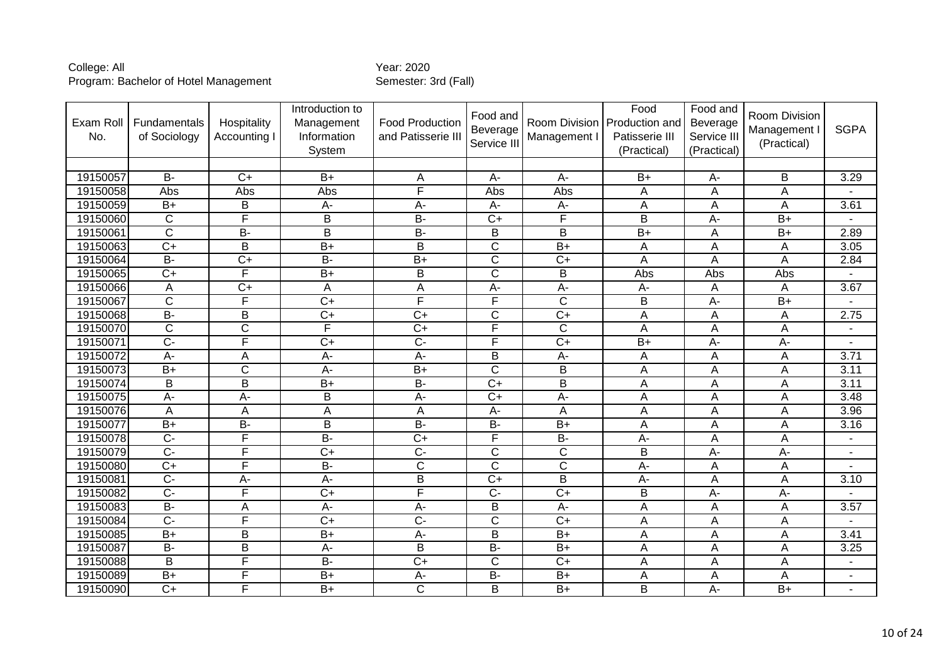| Exam Roll<br>No. | Fundamentals<br>of Sociology | Hospitality<br>Accounting I | Introduction to<br>Management<br>Information<br>System | <b>Food Production</b><br>and Patisserie III | Food and<br>Beverage<br>Service III | Management I            | Food<br>Room Division Production and<br>Patisserie III<br>(Practical) | Food and<br>Beverage<br>Service III<br>(Practical) | Room Division<br>Management<br>(Practical) | <b>SGPA</b>              |
|------------------|------------------------------|-----------------------------|--------------------------------------------------------|----------------------------------------------|-------------------------------------|-------------------------|-----------------------------------------------------------------------|----------------------------------------------------|--------------------------------------------|--------------------------|
|                  |                              |                             |                                                        |                                              |                                     |                         |                                                                       |                                                    |                                            |                          |
| 19150057         | $B -$                        | $C+$                        | $B+$                                                   | A                                            | $A -$                               | $A -$                   | $B+$                                                                  | A-                                                 | B                                          | 3.29                     |
| 19150058         | Abs                          | Abs                         | Abs                                                    | F                                            | Abs                                 | Abs                     | A                                                                     | A                                                  | A                                          |                          |
| 19150059         | $B+$                         | B                           | A-                                                     | $A -$                                        | A-                                  | A-                      | Α                                                                     | Α                                                  | Α                                          | 3.61                     |
| 19150060         | $\overline{C}$               | F                           | B                                                      | $\overline{B}$                               | $\overline{C}$                      | $\overline{\mathsf{F}}$ | $\overline{\mathsf{B}}$                                               | $A -$                                              | $\overline{B+}$                            |                          |
| 19150061         | $\overline{C}$               | $\overline{B}$              | $\overline{B}$                                         | $\overline{B}$                               | B                                   | $\overline{B}$          | $B+$                                                                  | A                                                  | $\overline{B+}$                            | 2.89                     |
| 19150063         | $\overline{C}$               | B                           | $\overline{B+}$                                        | $\overline{B}$                               | $\overline{\text{c}}$               | $\overline{B+}$         | A                                                                     | A                                                  | A                                          | 3.05                     |
| 19150064         | $\overline{B}$               | $\overline{C}$              | $\overline{B}$                                         | $B+$                                         | $\overline{\text{c}}$               | $\overline{C+}$         | A                                                                     | A                                                  | A                                          | 2.84                     |
| 19150065         | $\overline{C+}$              | F                           | $\overline{B+}$                                        | $\overline{B}$                               | $\overline{\text{c}}$               | $\overline{B}$          | Abs                                                                   | Abs                                                | Abs                                        |                          |
| 19150066         | A                            | $C+$                        | A                                                      | A                                            | А-                                  | A-                      | A-                                                                    | Α                                                  | A                                          | 3.67                     |
| 19150067         | $\overline{\text{c}}$        | $\overline{F}$              | $\overline{C+}$                                        | $\overline{\mathsf{F}}$                      | F                                   | $\overline{C}$          | B                                                                     | $A -$                                              | $B+$                                       |                          |
| 19150068         | $B -$                        | $\overline{B}$              | $\overline{C}$                                         | $\overline{C}$                               | $\overline{\text{c}}$               | $\overline{C}$          | Ā                                                                     | A                                                  | A                                          | 2.75                     |
| 19150070         | $\overline{C}$               | $\overline{C}$              | F                                                      | $\overline{C+}$                              | F                                   | $\mathsf C$             | A                                                                     | A                                                  | A                                          | $\overline{\phantom{a}}$ |
| 19150071         | $\overline{C}$               | F                           | $\overline{C}$                                         | $\overline{C}$                               | F                                   | $\overline{C+}$         | $B+$                                                                  | $A -$                                              | A-                                         | $\blacksquare$           |
| 19150072         | $\overline{A}$               | A                           | A-                                                     | $A -$                                        | $\overline{B}$                      | $A -$                   | Α                                                                     | A                                                  | A                                          | 3.71                     |
| 19150073         | $\overline{B+}$              | $\overline{C}$              | A-                                                     | $\overline{B+}$                              | $\overline{\text{c}}$               | B                       | A                                                                     | A                                                  | A                                          | 3.11                     |
| 19150074         | B                            | B                           | $\overline{B+}$                                        | <b>B-</b>                                    | $\overline{C}$                      | $\overline{B}$          | A                                                                     | A                                                  | A                                          | 3.11                     |
| 19150075         | $A -$                        | $A -$                       | $\overline{B}$                                         | $A -$                                        | $\overline{C+}$                     | $A -$                   | Ā                                                                     | $\overline{\mathsf{A}}$                            | $\overline{A}$                             | 3.48                     |
| 19150076         | Α                            | A                           | A                                                      | $\overline{A}$                               | A-                                  | A                       | A                                                                     | A                                                  | A                                          | 3.96                     |
| 19150077         | $B+$                         | $\overline{B}$              | B                                                      | $\overline{B}$                               | $B -$                               | $\overline{B+}$         | A                                                                     | A                                                  | A                                          | 3.16                     |
| 19150078         | $\overline{C}$               | F                           | $B -$                                                  | $\overline{C+}$                              | F                                   | $B -$                   | A-                                                                    | A                                                  | A                                          | ٠                        |
| 19150079         | $\overline{C}$               | F                           | $\overline{C+}$                                        | $\overline{C}$                               | $\overline{\text{c}}$               | $\overline{\text{c}}$   | $\overline{\mathsf{B}}$                                               | $\overline{A}$                                     | $\overline{A}$                             | $\mathbf{r}$             |
| 19150080         | $\overline{C}$               | F                           | $\overline{B}$                                         | $\mathsf{C}$                                 | $\overline{\text{c}}$               | $\overline{C}$          | A-                                                                    | A                                                  | A                                          |                          |
| 19150081         | $\overline{C}$               | $A -$                       | $\overline{A}$ -                                       | $\overline{B}$                               | $\overline{C+}$                     | $\overline{B}$          | A-                                                                    | Α                                                  | A                                          | 3.10                     |
| 19150082         | $\overline{C}$ -             | F                           | $\overline{C}$                                         | $\overline{\mathsf{F}}$                      | $\overline{C}$                      | $\overline{C+}$         | B                                                                     | $A -$                                              | A-                                         |                          |
| 19150083         | $B -$                        | A                           | A-                                                     | $A -$                                        | B                                   | A-                      | A                                                                     | A                                                  | A                                          | 3.57                     |
| 19150084         | $\overline{C}$               | F                           | $\overline{C}$                                         | $\overline{C}$                               | $\overline{\text{c}}$               | $\overline{C+}$         | Α                                                                     | A                                                  | A                                          |                          |
| 19150085         | $B+$                         | B                           | $B+$                                                   | $\overline{A}$ -                             | B                                   | $\overline{B+}$         | A                                                                     | A                                                  | A                                          | 3.41                     |
| 19150087         | <b>B-</b>                    | B                           | A-                                                     | B                                            | <b>B-</b>                           | $B+$                    | Α                                                                     | A                                                  | A                                          | 3.25                     |
| 19150088         | $\overline{B}$               | F                           | $B -$                                                  | $\overline{C+}$                              | $\overline{\text{c}}$               | $\overline{C+}$         | A                                                                     | A                                                  | A                                          | $\blacksquare$           |
| 19150089         | $B+$                         | F                           | $B+$                                                   | $A -$                                        | <b>B-</b>                           | $B+$                    | Α                                                                     | A                                                  | A                                          | $\blacksquare$           |
| 19150090         | $\overline{C}$               | F                           | $B+$                                                   | $\overline{\text{C}}$                        | B                                   | $\overline{B+}$         | B                                                                     | $A -$                                              | $B+$                                       |                          |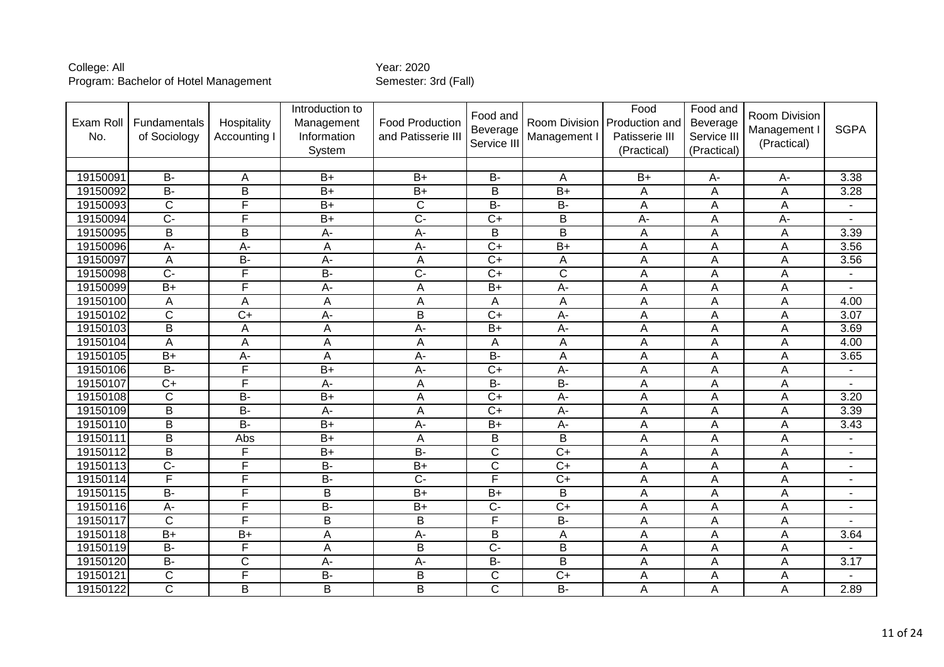| Exam Roll<br>No. | Fundamentals<br>of Sociology | Hospitality<br>Accounting I | Introduction to<br>Management<br>Information<br>System | <b>Food Production</b><br>and Patisserie III | Food and<br>Beverage<br>Service II | Room Division<br>Management I | Food<br>Production and<br>Patisserie III<br>(Practical) | Food and<br>Beverage<br>Service III<br>(Practical) | <b>Room Division</b><br>Management I<br>(Practical) | <b>SGPA</b>              |
|------------------|------------------------------|-----------------------------|--------------------------------------------------------|----------------------------------------------|------------------------------------|-------------------------------|---------------------------------------------------------|----------------------------------------------------|-----------------------------------------------------|--------------------------|
|                  |                              |                             |                                                        |                                              |                                    |                               |                                                         |                                                    |                                                     |                          |
| 19150091         | <b>B-</b>                    | A                           | $B+$                                                   | $B+$                                         | <b>B-</b>                          | A                             | $B+$                                                    | A-                                                 | $A -$                                               | 3.38                     |
| 19150092         | $\overline{B}$               | B                           | $B+$                                                   | $B+$                                         | B                                  | $B+$                          | A                                                       | A                                                  | А                                                   | 3.28                     |
| 19150093         | C                            | F                           | $B+$                                                   | C                                            | $B -$                              | $\overline{B}$                | A                                                       | A                                                  | A                                                   |                          |
| 19150094         | $\overline{C}$               | F                           | $\overline{B+}$                                        | $\overline{C}$                               | $\overline{C+}$                    | B                             | A-                                                      | A                                                  | A-                                                  |                          |
| 19150095         | $\overline{B}$               | $\overline{B}$              | $\overline{A}$ -                                       | $\overline{A}$                               | $\overline{\mathsf{B}}$            | $\overline{\mathsf{B}}$       | A                                                       | $\overline{A}$                                     | A                                                   | 3.39                     |
| 19150096         | A-                           | A-                          | A                                                      | $A -$                                        | $\overline{C}$                     | $B+$                          | A                                                       | A                                                  | A                                                   | 3.56                     |
| 19150097         | A                            | $\overline{B}$              | A-                                                     | A                                            | $\overline{C}$                     | A                             | A                                                       | A                                                  | Α                                                   | 3.56                     |
| 19150098         | $\overline{C}$               | F                           | B-                                                     | $\overline{C}$                               | $\overline{C}$                     | $\overline{C}$                | A                                                       | A                                                  | А                                                   | ٠                        |
| 19150099         | $\overline{B+}$              | F                           | A-                                                     | $\mathsf A$                                  | $\overline{B+}$                    | $A -$                         | A                                                       | A                                                  | A                                                   |                          |
| 19150100         | Α                            | A                           | Α                                                      | A                                            | A                                  | Α                             | A                                                       | A                                                  | А                                                   | 4.00                     |
| 19150102         | $\overline{\mathsf{C}}$      | $C+$                        | $A -$                                                  | $\overline{\mathsf{B}}$                      | $C+$                               | $A -$                         | $\overline{A}$                                          | $\overline{A}$                                     | $\overline{A}$                                      | $\overline{3.07}$        |
| 19150103         | B                            | A                           | A                                                      | $A -$                                        | $B+$                               | A-                            | A                                                       | A                                                  | A                                                   | 3.69                     |
| 19150104         | A                            | A                           | Α                                                      | A                                            | Α                                  | A                             | A                                                       | Α                                                  | Α                                                   | 4.00                     |
| 19150105         | $B+$                         | $A -$                       | $\overline{A}$                                         | $A -$                                        | $\overline{B}$                     | $\overline{A}$                | $\overline{A}$                                          | $\overline{A}$                                     | $\overline{A}$                                      | 3.65                     |
| 19150106         | <b>B-</b>                    | $\mathsf F$                 | $B+$                                                   | A-                                           | $C+$                               | A-                            | A                                                       | A                                                  | A                                                   | $\blacksquare$           |
| 19150107         | $\overline{C}$               | F                           | $\overline{A}$ -                                       | $\overline{A}$                               | $B -$                              | $B -$                         | A                                                       | A                                                  | A                                                   | ٠                        |
| 19150108         | $\overline{C}$               | $\overline{B}$              | $\overline{B+}$                                        | $\overline{A}$                               | $\overline{C+}$                    | $A -$                         | $\overline{A}$                                          | $\overline{A}$                                     | $\overline{A}$                                      | 3.20                     |
| 19150109         | $\overline{B}$               | $\overline{B}$              | A-                                                     | A                                            | $\overline{C+}$                    | $\overline{A}$                | A                                                       | A                                                  | A                                                   | 3.39                     |
| 19150110         | B                            | $B -$                       | $B+$                                                   | $A -$                                        | $B+$                               | $A-$                          | A                                                       | A                                                  | A                                                   | 3.43                     |
| 19150111         | $\overline{\mathsf{B}}$      | Abs                         | $\overline{B}$                                         | $\overline{A}$                               | $\overline{B}$                     | $\overline{\mathsf{B}}$       | A                                                       | A                                                  | Α                                                   | $\blacksquare$           |
| 19150112         | $\overline{B}$               | F                           | $B+$                                                   | $\overline{B}$                               | $\overline{\text{c}}$              | $\overline{C+}$               | A                                                       | A                                                  | A                                                   | $\overline{a}$           |
| 19150113         | $\overline{C}$               | F                           | $B -$                                                  | $\overline{B+}$                              | $\overline{C}$                     | $\overline{C}$                | A                                                       | A                                                  | A                                                   | $\blacksquare$           |
| 19150114         | F                            | F                           | $B -$                                                  | $\overline{C}$                               | F                                  | $\overline{C+}$               | A                                                       | A                                                  | Α                                                   | $\blacksquare$           |
| 19150115         | $B -$                        | F                           | $\overline{B}$                                         | $\overline{B+}$                              | $B+$                               | B                             | A                                                       | A                                                  | A                                                   | $\overline{\phantom{a}}$ |
| 19150116         | A-                           | F                           | $B -$                                                  | $B+$                                         | $\overline{C}$                     | $\overline{C}$                | A                                                       | A                                                  | A                                                   | ٠                        |
| 19150117         | $\overline{\mathsf{C}}$      | F                           | $\overline{B}$                                         | $\overline{\mathsf{B}}$                      | F                                  | $B -$                         | A                                                       | Α                                                  | Α                                                   | $\blacksquare$           |
| 19150118         | $B+$                         | $B+$                        | A                                                      | A-                                           | B                                  | A                             | A                                                       | A                                                  | A                                                   | 3.64                     |
| 19150119         | <b>B-</b>                    | F                           | A                                                      | B                                            | $\overline{C}$                     | B                             | A                                                       | A                                                  | A                                                   |                          |
| 19150120         | $B -$                        | $\overline{C}$              | $\overline{A}$ -                                       | $\overline{A}$                               | $\overline{B}$                     | $\overline{\mathsf{B}}$       | Ā                                                       | $\overline{A}$                                     | A                                                   | 3.17                     |
| 19150121         | C                            | F                           | B-                                                     | B                                            | C                                  | $C+$                          | A                                                       | A                                                  | Α                                                   |                          |
| 19150122         | $\overline{\text{c}}$        | B                           | B                                                      | B                                            | $\overline{\text{c}}$              | $\overline{B}$                | A                                                       | A                                                  | A                                                   | 2.89                     |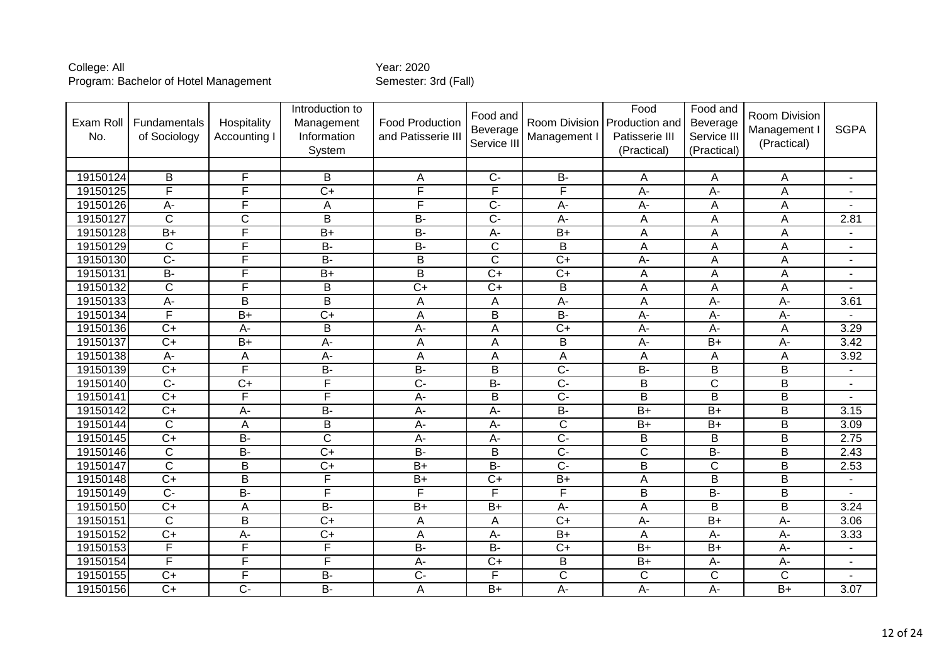| Exam Roll<br>No. | Fundamentals<br>of Sociology | Hospitality<br>Accounting I | Introduction to<br>Management<br>Information<br>System | <b>Food Production</b><br>and Patisserie III | Food and<br>Beverage<br>Service III | Room Division<br>Management I | Food<br>Production and<br>Patisserie III<br>(Practical) | Food and<br>Beverage<br>Service III<br>(Practical) | Room Division<br>Management I<br>(Practical) | <b>SGPA</b>    |
|------------------|------------------------------|-----------------------------|--------------------------------------------------------|----------------------------------------------|-------------------------------------|-------------------------------|---------------------------------------------------------|----------------------------------------------------|----------------------------------------------|----------------|
|                  |                              |                             |                                                        |                                              |                                     |                               |                                                         |                                                    |                                              |                |
| 19150124         | B                            | F                           | B                                                      | A                                            | $C-$                                | $\overline{B}$                | A                                                       | A                                                  | A                                            | $\blacksquare$ |
| 19150125         | F                            | F                           | $\overline{C+}$                                        | F                                            | F                                   | F                             | A-                                                      | A-                                                 | A                                            | $\blacksquare$ |
| 19150126         | A-                           | $\overline{F}$              | A                                                      | F                                            | $\overline{C}$                      | A-                            | $A -$                                                   | A                                                  | A                                            |                |
| 19150127         | $\mathsf{C}$                 | C                           | B                                                      | <b>B-</b>                                    | $C -$                               | A-                            | A                                                       | A                                                  | A                                            | 2.81           |
| 19150128         | $B+$                         | F                           | $B+$                                                   | $\overline{B}$                               | $A -$                               | $B+$                          | A                                                       | A                                                  | A                                            | $\blacksquare$ |
| 19150129         | $\mathsf{C}$                 | F                           | <b>B-</b>                                              | <b>B-</b>                                    | $\mathsf{C}$                        | B                             | Α                                                       | A                                                  | A                                            | $\blacksquare$ |
| 19150130         | $\overline{C}$               | F                           | $\overline{B}$                                         | $\overline{B}$                               | $\overline{\text{c}}$               | $\overline{C+}$               | A-                                                      | A                                                  | A                                            | $\blacksquare$ |
| 19150131         | $B -$                        | F                           | $\overline{B}$                                         | $\overline{\mathsf{B}}$                      | $\overline{C+}$                     | $\overline{C+}$               | Α                                                       | A                                                  | A                                            | ٠              |
| 19150132         | $\overline{\text{c}}$        | $\overline{\mathsf{F}}$     | B                                                      | $\overline{C+}$                              | $\overline{C+}$                     | B                             | A                                                       | A                                                  | A                                            |                |
| 19150133         | $\overline{A}$ -             | B                           | $\overline{B}$                                         | $\overline{A}$                               | A                                   | A-                            | A                                                       | $A -$                                              | A-                                           | 3.61           |
| 19150134         | F                            | $B+$                        | $\overline{C+}$                                        | $\overline{A}$                               | $\overline{B}$                      | $B -$                         | A-                                                      | $A -$                                              | A-                                           |                |
| 19150136         | $\overline{C+}$              | $A -$                       | B                                                      | $A -$                                        | A                                   | $\overline{C+}$               | A-                                                      | $A -$                                              | A                                            | 3.29           |
| 19150137         | $\overline{C}$               | $\overline{B+}$             | A-                                                     | A                                            | A                                   | B                             | A-                                                      | $B+$                                               | A-                                           | 3.42           |
| 19150138         | $\overline{A}$ -             | A                           | $\overline{A}$ -                                       | A                                            | Α                                   | A                             | Α                                                       | A                                                  | А                                            | 3.92           |
| 19150139         | $\overline{C}$               | F                           | $B -$                                                  | $\overline{B}$                               | B                                   | $\overline{C}$                | $B -$                                                   | B                                                  | B                                            | $\overline{a}$ |
| 19150140         | $\overline{C}$               | $\overline{C+}$             | F                                                      | $\overline{C}$                               | $\overline{B}$                      | $\overline{C}$                | B                                                       | $\overline{\text{C}}$                              | B                                            | $\blacksquare$ |
| 19150141         | $\overline{C+}$              | F                           | F                                                      | $A -$                                        | $\overline{B}$                      | $\overline{C}$                | $\overline{\mathsf{B}}$                                 | $\overline{\mathsf{B}}$                            | $\overline{\mathsf{B}}$                      |                |
| 19150142         | $\overline{C+}$              | A-                          | $B -$                                                  | A-                                           | A-                                  | $\overline{B}$                | $B+$                                                    | $\overline{B+}$                                    | B                                            | 3.15           |
| 19150144         | $\mathsf{C}$                 | A                           | B                                                      | A-                                           | A-                                  | $\overline{\text{c}}$         | $B+$                                                    | $B+$                                               | B                                            | 3.09           |
| 19150145         | $\overline{C+}$              | $\overline{B}$              | $\overline{\text{c}}$                                  | $A -$                                        | A-                                  | $\overline{C}$                | $\overline{\mathsf{B}}$                                 | $\overline{B}$                                     | B                                            | 2.75           |
| 19150146         | $\overline{\text{c}}$        | $\overline{B}$              | $\overline{C+}$                                        | $B -$                                        | B                                   | $\overline{C}$                | $\overline{\text{c}}$                                   | $\overline{B}$                                     | $\overline{\mathsf{B}}$                      | 2.43           |
| 19150147         | $\overline{C}$               | $\sf B$                     | $\overline{C+}$                                        | $\overline{B+}$                              | $B -$                               | $\overline{C}$                | $\overline{\mathsf{B}}$                                 | $\overline{\text{C}}$                              | B                                            | 2.53           |
| 19150148         | $\overline{C+}$              | $\overline{B}$              | F                                                      | $B+$                                         | $\overline{C+}$                     | $B+$                          | Α                                                       | $\overline{B}$                                     | $\overline{\mathsf{B}}$                      | $\blacksquare$ |
| 19150149         | $\overline{C}$               | $B -$                       | F                                                      | F                                            | F                                   | F                             | B                                                       | $B -$                                              | B                                            |                |
| 19150150         | $\overline{C}$               | A                           | $\overline{B}$                                         | $B+$                                         | $B+$                                | A-                            | A                                                       | B                                                  | B                                            | 3.24           |
| 19150151         | $\overline{\text{c}}$        | $\overline{B}$              | $C+$                                                   | $\overline{A}$                               | A                                   | $\overline{C+}$               | A-                                                      | $B+$                                               | $\overline{A}$ -                             | 3.06           |
| 19150152         | $C+$                         | $A-$                        | $C+$                                                   | A                                            | A-                                  | $B+$                          | Α                                                       | A-                                                 | $A -$                                        | 3.33           |
| 19150153         | $\overline{\mathsf{F}}$      | F                           | F                                                      | $\overline{B}$                               | $\overline{B}$                      | $\overline{C+}$               | $\overline{B+}$                                         | $\overline{B+}$                                    | $\overline{A}$                               | $\blacksquare$ |
| 19150154         | F                            | F                           | F                                                      | $A -$                                        | $\overline{C+}$                     | B                             | $B+$                                                    | $A-$                                               | A-                                           | $\blacksquare$ |
| 19150155         | $\overline{C}$               | F                           | $B -$                                                  | $\overline{C}$                               | F                                   | $\overline{\text{c}}$         | C                                                       | $\overline{\text{C}}$                              | $\overline{C}$                               |                |
| 19150156         | $\overline{C+}$              | $\overline{C}$              | $\overline{B}$                                         | A                                            | $B+$                                | А-                            | A-                                                      | $\overline{A}$                                     | $B+$                                         | 3.07           |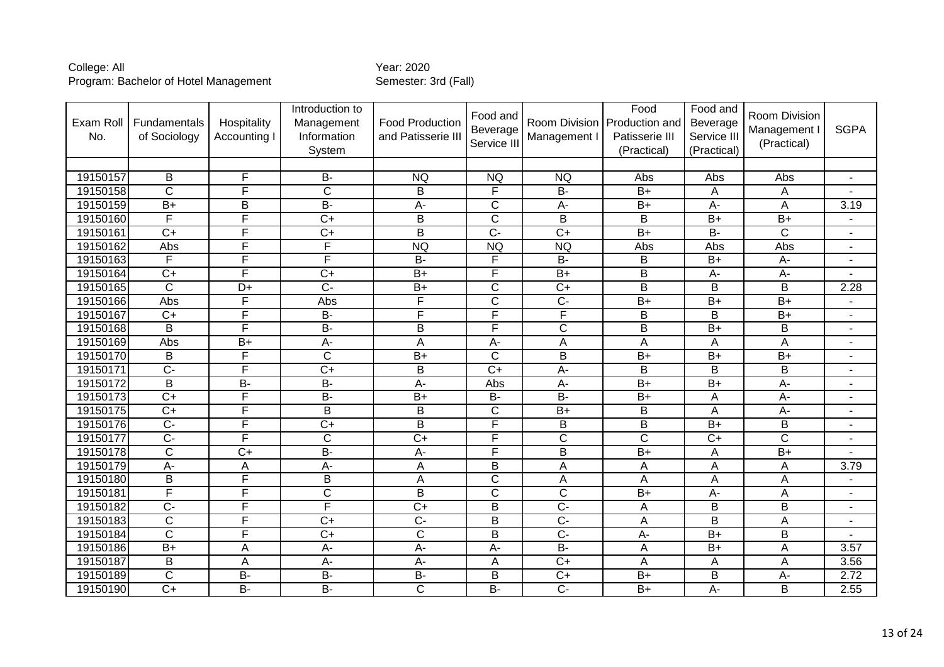| Exam Roll<br>No. | Fundamentals<br>of Sociology | Hospitality<br>Accounting I | Introduction to<br>Management<br>Information<br>System | <b>Food Production</b><br>and Patisserie III | Food and<br>Beverage<br>Service III | Management I            | Food<br>Room Division Production and<br>Patisserie III<br>(Practical) | Food and<br>Beverage<br>Service III<br>(Practical) | Room Division<br>Management<br>(Practical) | <b>SGPA</b>              |
|------------------|------------------------------|-----------------------------|--------------------------------------------------------|----------------------------------------------|-------------------------------------|-------------------------|-----------------------------------------------------------------------|----------------------------------------------------|--------------------------------------------|--------------------------|
|                  |                              |                             |                                                        |                                              |                                     |                         |                                                                       |                                                    |                                            |                          |
| 19150157         | B                            | F                           | <b>B-</b>                                              | <b>NQ</b>                                    | <b>NQ</b>                           | <b>NQ</b>               | Abs                                                                   | Abs                                                | Abs                                        | Ξ.                       |
| 19150158         | $\overline{\text{c}}$        | F                           | $\overline{\text{c}}$                                  | $\overline{B}$                               | F                                   | $B -$                   | $B+$                                                                  | A                                                  | A                                          |                          |
| 19150159         | $B+$                         | B                           | <b>B-</b>                                              | A-                                           | C                                   | A-                      | $B+$                                                                  | A-                                                 | Α                                          | 3.19                     |
| 19150160         | $\overline{F}$               | F                           | $\overline{C}$                                         | $\mathsf B$                                  | $\overline{\text{c}}$               | $\overline{B}$          | B                                                                     | $\overline{B+}$                                    | $\overline{B+}$                            | $\blacksquare$           |
| 19150161         | $\overline{C}$               | F                           | $\overline{C}$                                         | $\overline{B}$                               | $\overline{C}$                      | $\overline{C}$          | $B+$                                                                  | $\overline{B}$                                     | $\overline{\text{C}}$                      | $\blacksquare$           |
| 19150162         | Abs                          | F                           | F                                                      | <b>NQ</b>                                    | <b>NQ</b>                           | <b>NQ</b>               | Abs                                                                   | Abs                                                | Abs                                        | $\blacksquare$           |
| 19150163         | F                            | F                           | F                                                      | $\overline{B}$                               | F                                   | $\overline{B}$          | B                                                                     | $B+$                                               | A-                                         | $\blacksquare$           |
| 19150164         | $\overline{C}$               | F                           | $\overline{C+}$                                        | $B+$                                         | F                                   | $\overline{B+}$         | В                                                                     | $A-$                                               | $\overline{A}$ -                           |                          |
| 19150165         | $\overline{C}$               | D+                          | $\overline{C}$                                         | $B+$                                         | C                                   | $\overline{C+}$         | B                                                                     | B                                                  | B                                          | 2.28                     |
| 19150166         | Abs                          | $\overline{F}$              | Abs                                                    | F                                            | $\overline{\text{c}}$               | $\overline{C}$          | $\overline{B+}$                                                       | $B+$                                               | $B+$                                       |                          |
| 19150167         | $\overline{C}$               | F                           | B-                                                     | F                                            | F                                   | F                       | $\overline{\mathsf{B}}$                                               | $\overline{B}$                                     | $\overline{B+}$                            | $\blacksquare$           |
| 19150168         | B                            | F                           | $\overline{B}$                                         | $\mathsf B$                                  | F                                   | $\overline{C}$          | $\overline{\mathsf{B}}$                                               | $B+$                                               | B                                          | $\blacksquare$           |
| 19150169         | Abs                          | $B+$                        | A-                                                     | A                                            | A-                                  | A                       | A                                                                     | A                                                  | A                                          | $\blacksquare$           |
| 19150170         | $\overline{B}$               | F                           | $\overline{\mathsf{C}}$                                | $B+$                                         | $\overline{\text{c}}$               | $\overline{B}$          | $B+$                                                                  | $B+$                                               | $\overline{B+}$                            | $\overline{\phantom{a}}$ |
| 19150171         | $\overline{C}$               | F                           | $\overline{C+}$                                        | B                                            | $\overline{C+}$                     | $\overline{A}$          | B                                                                     | B                                                  | B                                          | $\blacksquare$           |
| 19150172         | B                            | $\overline{B}$              | $\overline{B}$                                         | $A -$                                        | Abs                                 | A-                      | $B+$                                                                  | $\overline{B+}$                                    | A-                                         | $\blacksquare$           |
| 19150173         | $C+$                         | F                           | $B -$                                                  | $B+$                                         | $B -$                               | $\overline{B}$          | $B+$                                                                  | $\overline{A}$                                     | $A -$                                      | $\blacksquare$           |
| 19150175         | $C+$                         | F                           | B                                                      | B                                            | C                                   | $B+$                    | B                                                                     | A                                                  | A-                                         | $\blacksquare$           |
| 19150176         | $\overline{C}$               | F                           | $\overline{C}$                                         | $\overline{B}$                               | F                                   | B                       | $\overline{\mathsf{B}}$                                               | $\overline{B+}$                                    | B                                          | $\blacksquare$           |
| 19150177         | $\overline{C}$               | F                           | $\overline{\text{c}}$                                  | $\overline{C+}$                              | F                                   | $\overline{\mathsf{C}}$ | $\overline{\text{c}}$                                                 | $\overline{C+}$                                    | $\overline{\text{c}}$                      | $\blacksquare$           |
| 19150178         | $\overline{c}$               | $\overline{C+}$             | $B -$                                                  | $\overline{A}$                               | F                                   | $\overline{B}$          | $\overline{B+}$                                                       | A                                                  | $\overline{B+}$                            |                          |
| 19150179         | A-                           | A                           | A-                                                     | $\overline{A}$                               | B                                   | A                       | Α                                                                     | A                                                  | A                                          | 3.79                     |
| 19150180         | B                            | F                           | B                                                      | $\overline{A}$                               | $\overline{\text{c}}$               | A                       | Α                                                                     | Α                                                  | A                                          |                          |
| 19150181         | F                            | F                           | $\overline{\text{c}}$                                  | $\overline{B}$                               | $\overline{\text{c}}$               | $\overline{C}$          | $B+$                                                                  | A-                                                 | A                                          | $\blacksquare$           |
| 19150182         | $\overline{C}$               | $\overline{\mathsf{F}}$     | F                                                      | $\overline{C+}$                              | B                                   | $\overline{C}$          | Α                                                                     | B                                                  | B                                          | $\blacksquare$           |
| 19150183         | $\overline{C}$               | F                           | $\overline{C}$                                         | $\overline{C}$                               | B                                   | $\overline{C}$          | Α                                                                     | B                                                  | A                                          | $\blacksquare$           |
| 19150184         | $\overline{C}$               | F                           | $\overline{C}$                                         | $\overline{C}$                               | B                                   | $\overline{C}$          | A-                                                                    | $\overline{B+}$                                    | B                                          | $\blacksquare$           |
| 19150186         | $B+$                         | A                           | A-                                                     | $A -$                                        | A-                                  | <b>B-</b>               | Α                                                                     | $B+$                                               | A                                          | 3.57                     |
| 19150187         | $\overline{B}$               | A                           | $\overline{A}$                                         | $\overline{A}$                               | A                                   | $\overline{C+}$         | A                                                                     | A                                                  | A                                          | 3.56                     |
| 19150189         | C                            | <b>B-</b>                   | <b>B-</b>                                              | <b>B-</b>                                    | B                                   | $C+$                    | $B+$                                                                  | B                                                  | A-                                         | 2.72                     |
| 19150190         | $\overline{C}$               | $\overline{B}$              | $B -$                                                  | $\overline{\mathrm{C}}$                      | $B -$                               | $\overline{C}$          | $B+$                                                                  | $A -$                                              | B                                          | 2.55                     |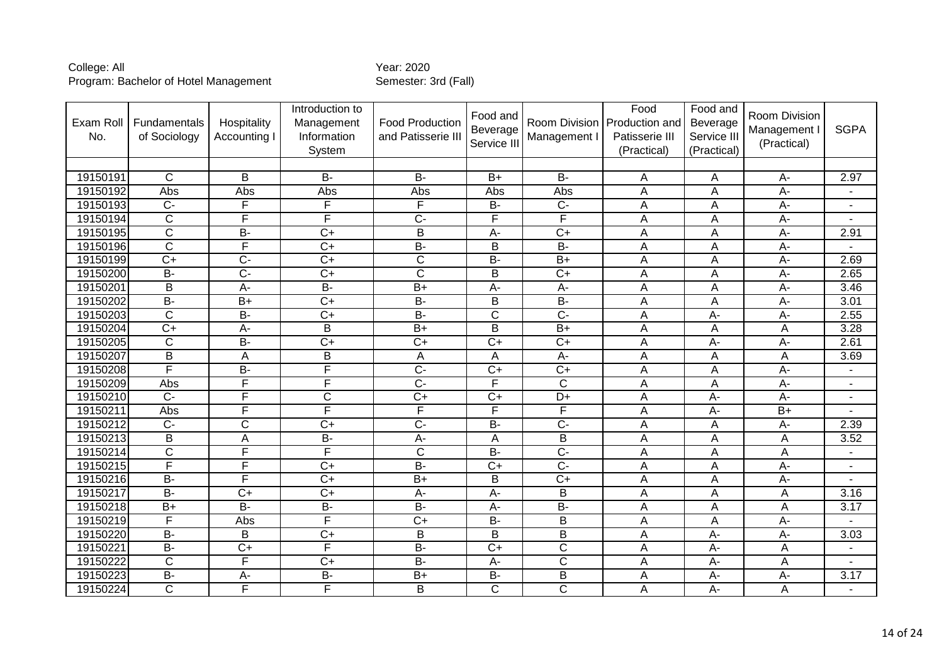| Exam Roll<br>No. | Fundamentals<br>of Sociology | Hospitality<br>Accounting | Introduction to<br>Management<br>Information<br>System | <b>Food Production</b><br>and Patisserie III | Food and<br>Beverage<br>Service III | Management I          | Food<br>Room Division   Production and<br>Patisserie III<br>(Practical) | Food and<br>Beverage<br>Service III<br>(Practical) | Room Division<br>Management I<br>(Practical) | <b>SGPA</b>    |
|------------------|------------------------------|---------------------------|--------------------------------------------------------|----------------------------------------------|-------------------------------------|-----------------------|-------------------------------------------------------------------------|----------------------------------------------------|----------------------------------------------|----------------|
|                  |                              |                           |                                                        |                                              |                                     |                       |                                                                         |                                                    |                                              |                |
| 19150191         | $\mathsf{C}$                 | B                         | $B -$                                                  | <b>B-</b>                                    | $B+$                                | <b>B-</b>             | Α                                                                       | Α                                                  | A-                                           | 2.97           |
| 19150192         | Abs                          | Abs                       | Abs                                                    | Abs                                          | Abs                                 | Abs                   | A                                                                       | A                                                  | $\overline{A}$ -                             |                |
| 19150193         | $C -$                        | F                         | F                                                      | F                                            | <b>B-</b>                           | $\overline{C}$        | Α                                                                       | A                                                  | A-                                           | $\blacksquare$ |
| 19150194         | $\overline{\text{c}}$        | $\overline{\mathsf{F}}$   | F                                                      | $\overline{C}$                               | F                                   | F                     | A                                                                       | A                                                  | A-                                           |                |
| 19150195         | $\overline{C}$               | $\overline{B}$            | $\overline{C+}$                                        | $\overline{B}$                               | $A -$                               | $\overline{C+}$       | Α                                                                       | A                                                  | A-                                           | 2.91           |
| 19150196         | $\overline{\mathsf{C}}$      | F                         | $\overline{C+}$                                        | <b>B-</b>                                    | B                                   | $\overline{B}$        | Α                                                                       | A                                                  | A-                                           |                |
| 19150199         | $\overline{C}$               | $\overline{C}$            | $\overline{C+}$                                        | $\overline{\mathsf{C}}$                      | $\overline{B}$                      | $\overline{B+}$       | A                                                                       | A                                                  | $\overline{A}$                               | 2.69           |
| 19150200         | $\overline{B}$               | $\overline{C}$            | $\overline{C+}$                                        | $\overline{\mathsf{C}}$                      | $\overline{B}$                      | $\overline{C+}$       | Α                                                                       | A                                                  | $\overline{A}$ -                             | 2.65           |
| 19150201         | B                            | A-                        | $B -$                                                  | $\overline{B+}$                              | A-                                  | A-                    | A                                                                       | A                                                  | A-                                           | 3.46           |
| 19150202         | $B -$                        | $\overline{B+}$           | $\overline{C+}$                                        | $B -$                                        | B                                   | $\overline{B}$        | A                                                                       | A                                                  | $A-$                                         | 3.01           |
| 19150203         | $\overline{C}$               | $B -$                     | $\overline{C+}$                                        | $\overline{B}$                               | $\overline{\text{c}}$               | $\overline{C}$        | A                                                                       | $A -$                                              | A-                                           | 2.55           |
| 19150204         | $\overline{C}$               | A-                        | B                                                      | $\overline{B+}$                              | B                                   | $\overline{B+}$       | A                                                                       | A                                                  | A                                            | 3.28           |
| 19150205         | $\mathsf{C}$                 | $B -$                     | $\overline{C+}$                                        | $\overline{C+}$                              | $\overline{C+}$                     | $\overline{C+}$       | A                                                                       | $A -$                                              | A-                                           | 2.61           |
| 19150207         | $\overline{B}$               | A                         | $\overline{\mathsf{B}}$                                | A                                            | A                                   | $A -$                 | Α                                                                       | A                                                  | А                                            | 3.69           |
| 19150208         | F                            | $B -$                     | F                                                      | $\overline{C}$                               | $\overline{C+}$                     | $\overline{C+}$       | A                                                                       | A                                                  | A-                                           |                |
| 19150209         | Abs                          | $\overline{F}$            | F                                                      | $\overline{C}$                               | F                                   | $\overline{C}$        | Α                                                                       | A                                                  | A-                                           | $\blacksquare$ |
| 19150210         | $\overline{C}$               | F                         | $\overline{\text{C}}$                                  | $C+$                                         | $\overline{C+}$                     | $\overline{D+}$       | Ā                                                                       | $A -$                                              | $A -$                                        | $\blacksquare$ |
| 19150211         | Abs                          | F                         | F                                                      | $\overline{F}$                               | F                                   | F                     | A                                                                       | $A -$                                              | $B+$                                         |                |
| 19150212         | $\overline{C}$               | $\overline{\text{c}}$     | $\overline{C+}$                                        | $\overline{C}$                               | $B -$                               | $\overline{C}$        | Α                                                                       | A                                                  | А-                                           | 2.39           |
| 19150213         | $\overline{B}$               | $\overline{A}$            | $B -$                                                  | $A -$                                        | $\overline{A}$                      | $\overline{B}$        | A                                                                       | A                                                  | A                                            | 3.52           |
| 19150214         | $\overline{\text{c}}$        | $\overline{F}$            | F                                                      | $\overline{C}$                               | $B -$                               | $\overline{C}$        | A                                                                       | A                                                  | A                                            | ٠              |
| 19150215         | F                            | F                         | $\overline{C+}$                                        | $\overline{B}$                               | $\overline{C+}$                     | $\overline{C}$        | Α                                                                       | A                                                  | A-                                           | ٠              |
| 19150216         | $B -$                        | F                         | $\overline{C+}$                                        | $B+$                                         | B                                   | $\overline{C+}$       | A                                                                       | Α                                                  | $A-$                                         |                |
| 19150217         | $\overline{B}$               | $\overline{C}$            | $\overline{C+}$                                        | A-                                           | A-                                  | B                     | A                                                                       | A                                                  | A                                            | 3.16           |
| 19150218         | $B+$                         | $B -$                     | <b>B-</b>                                              | $\overline{B}$                               | A-                                  | $\overline{B}$        | A                                                                       | A                                                  | A                                            | 3.17           |
| 19150219         | F                            | Abs                       | F                                                      | $\overline{C+}$                              | <b>B-</b>                           | B                     | Α                                                                       | Α                                                  | $A -$                                        |                |
| 19150220         | $\overline{B}$               | B                         | $\overline{C+}$                                        | B                                            | B                                   | B                     | A                                                                       | $A -$                                              | A-                                           | 3.03           |
| 19150221         | <b>B-</b>                    | $C+$                      | F                                                      | <b>B-</b>                                    | $C+$                                | C                     | Α                                                                       | $A -$                                              | A                                            | $\blacksquare$ |
| 19150222         | $\overline{\text{c}}$        | F                         | $\overline{C+}$                                        | $\overline{B}$                               | A-                                  | $\overline{\text{c}}$ | A                                                                       | $\overline{A}$                                     | A                                            |                |
| 19150223         | <b>B-</b>                    | A-                        | <b>B-</b>                                              | $B+$                                         | B-                                  | B                     | Α                                                                       | $A -$                                              | А-                                           | 3.17           |
| 19150224         | $\overline{C}$               | $\overline{\mathsf{F}}$   | F                                                      | B                                            | $\overline{\text{c}}$               | $\overline{\text{c}}$ | A                                                                       | $A -$                                              | A                                            |                |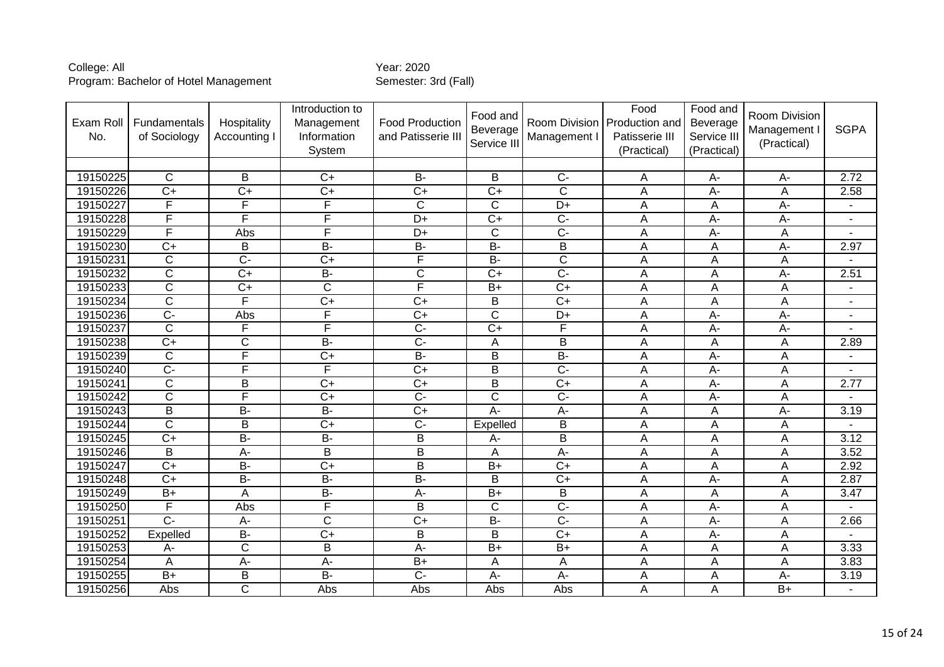| Exam Roll<br>No. | Fundamentals<br>of Sociology | Hospitality<br>Accounting I | Introduction to<br>Management<br>Information<br>System | <b>Food Production</b><br>and Patisserie III | Food and<br>Beverage<br>Service III | Management I            | Food<br>Room Division   Production and<br>Patisserie III<br>(Practical) | Food and<br>Beverage<br>Service III<br>(Practical) | Room Division<br>Management I<br>(Practical) | <b>SGPA</b>              |
|------------------|------------------------------|-----------------------------|--------------------------------------------------------|----------------------------------------------|-------------------------------------|-------------------------|-------------------------------------------------------------------------|----------------------------------------------------|----------------------------------------------|--------------------------|
|                  |                              |                             |                                                        |                                              |                                     |                         |                                                                         |                                                    |                                              |                          |
| 19150225         | $\mathsf{C}$                 | B                           | $C+$                                                   | <b>B-</b>                                    | B                                   | $C -$                   | A                                                                       | $A -$                                              | A-                                           | 2.72                     |
| 19150226         | $\overline{C+}$              | $\overline{C+}$             | $\overline{C+}$                                        | $\overline{C+}$                              | $\overline{C+}$                     | $\overline{\text{c}}$   | $\overline{A}$                                                          | $A -$                                              | A                                            | 2.58                     |
| 19150227         | F                            | $\overline{F}$              | F                                                      | $\mathsf C$                                  | $\mathsf{C}$                        | $D+$                    | A                                                                       | A                                                  | А-                                           |                          |
| 19150228         | F                            | $\overline{\mathsf{F}}$     | F                                                      | $D+$                                         | $\overline{C+}$                     | $\overline{C}$          | A                                                                       | $\overline{A}$                                     | A-                                           | $\overline{\phantom{a}}$ |
| 19150229         | F                            | Abs                         | F                                                      | D+                                           | $\overline{C}$                      | $\overline{C}$          | A                                                                       | $A -$                                              | A                                            |                          |
| 19150230         | $C+$                         | B                           | $B -$                                                  | $B -$                                        | $\overline{B}$                      | $\overline{B}$          | A                                                                       | A                                                  | A-                                           | 2.97                     |
| 19150231         | $\overline{C}$               | $\overline{C}$              | $\overline{C}$                                         | F                                            | $\overline{B}$                      | $\overline{C}$          | A                                                                       | Α                                                  | Α                                            |                          |
| 19150232         | $\overline{\mathsf{C}}$      | $\overline{C+}$             | $B -$                                                  | $\overline{\text{C}}$                        | $\overline{C+}$                     | $\overline{C}$ -        | A                                                                       | Α                                                  | $\overline{A}$ -                             | 2.51                     |
| 19150233         | $\overline{C}$               | $\overline{C+}$             | $\overline{C}$                                         | F                                            | $\overline{B+}$                     | $\overline{C+}$         | A                                                                       | A                                                  | A                                            | $\blacksquare$           |
| 19150234         | $\overline{C}$               | $\overline{\mathsf{F}}$     | $\overline{C+}$                                        | $\overline{C}$                               | B                                   | $\overline{C}$          | A                                                                       | A                                                  | А                                            | $\blacksquare$           |
| 19150236         | $\overline{C}$               | Abs                         | F                                                      | $C+$                                         | $\overline{\text{c}}$               | $\overline{D+}$         | A                                                                       | $A-$                                               | A-                                           | $\overline{\phantom{a}}$ |
| 19150237         | $\overline{C}$               | $\overline{F}$              | F                                                      | $\overline{C}$                               | $\overline{C}$                      | F                       | A                                                                       | $A -$                                              | A-                                           |                          |
| 19150238         | $C+$                         | $\mathsf C$                 | $\overline{B}$                                         | $\overline{C}$                               | Α                                   | B                       | Α                                                                       | A                                                  | А                                            | 2.89                     |
| 19150239         | $\overline{\text{c}}$        | F                           | $\overline{C+}$                                        | $\overline{B}$                               | $\overline{B}$                      | $\overline{B}$          | $\overline{A}$                                                          | $\overline{A}$ -                                   | $\overline{A}$                               |                          |
| 19150240         | $\overline{C}$               | F                           | F                                                      | $\overline{C+}$                              | B                                   | $\overline{C}$          | A                                                                       | $A-$                                               | А                                            | $\overline{a}$           |
| 19150241         | $\overline{C}$               | B                           | $\overline{C+}$                                        | $\overline{C}$                               | $\overline{B}$                      | $\overline{C+}$         | A                                                                       | $\overline{A}$                                     | A                                            | 2.77                     |
| 19150242         | $\overline{\text{c}}$        | F                           | $\overline{C+}$                                        | $\overline{C}$                               | $\overline{\text{c}}$               | $\overline{C}$          | $\overline{A}$                                                          | $A -$                                              | Α                                            |                          |
| 19150243         | $\overline{B}$               | $B -$                       | $B -$                                                  | $\overline{C+}$                              | $A -$                               | $\overline{A}$          | $\overline{A}$                                                          | A                                                  | $\overline{A}$                               | 3.19                     |
| 19150244         | $\overline{\text{C}}$        | B                           | $\overline{C+}$                                        | $\overline{C}$                               | Expelled                            | B                       | A                                                                       | A                                                  | A                                            |                          |
| 19150245         | $\overline{C+}$              | $B -$                       | $B -$                                                  | $\overline{\mathsf{B}}$                      | A-                                  | $\overline{\mathsf{B}}$ | A                                                                       | A                                                  | A                                            | 3.12                     |
| 19150246         | $\overline{B}$               | $A -$                       | $\overline{\mathsf{B}}$                                | $\overline{B}$                               | A                                   | $\overline{A}$ -        | A                                                                       | Α                                                  | A                                            | 3.52                     |
| 19150247         | $\overline{C}$               | $\overline{B}$              | $\overline{C+}$                                        | $\overline{B}$                               | $\overline{B+}$                     | $\overline{C+}$         | A                                                                       | A                                                  | A                                            | 2.92                     |
| 19150248         | $\overline{C+}$              | $B -$                       | $B -$                                                  | $B -$                                        | $\overline{B}$                      | $\overline{C+}$         | A                                                                       | $A -$                                              | A                                            | 2.87                     |
| 19150249         | $B+$                         | $\overline{A}$              | $B -$                                                  | $A -$                                        | $\overline{B+}$                     | B                       | A                                                                       | A                                                  | A                                            | 3.47                     |
| 19150250         | F                            | Abs                         | F                                                      | B                                            | $\mathsf{C}$                        | $\overline{C}$          | A                                                                       | $A -$                                              | А                                            |                          |
| 19150251         | $\overline{C}$ -             | $\overline{A}$              | $\overline{\mathsf{C}}$                                | $\overline{C+}$                              | $B -$                               | $\overline{C}$ -        | A                                                                       | $A -$                                              | A                                            | 2.66                     |
| 19150252         | Expelled                     | <b>B-</b>                   | $C+$                                                   | B                                            | B                                   | $\overline{C+}$         | Α                                                                       | $A-$                                               | Α                                            |                          |
| 19150253         | A-                           | $\overline{\text{c}}$       | $\overline{\mathsf{B}}$                                | $\overline{A}$                               | $\overline{B+}$                     | $B+$                    | A                                                                       | A                                                  | $\mathsf{A}$                                 | 3.33                     |
| 19150254         | A                            | $A -$                       | $\overline{A}$ -                                       | $B+$                                         | A                                   | A                       | A                                                                       | Α                                                  | A                                            | 3.83                     |
| 19150255         | $\overline{B+}$              | B                           | $B -$                                                  | $\overline{C}$                               | $\overline{A}$ -                    | $A -$                   | A                                                                       | A                                                  | A-                                           | 3.19                     |
| 19150256         | Abs                          | $\overline{C}$              | Abs                                                    | Abs                                          | Abs                                 | Abs                     | A                                                                       | Α                                                  | $B+$                                         | $\blacksquare$           |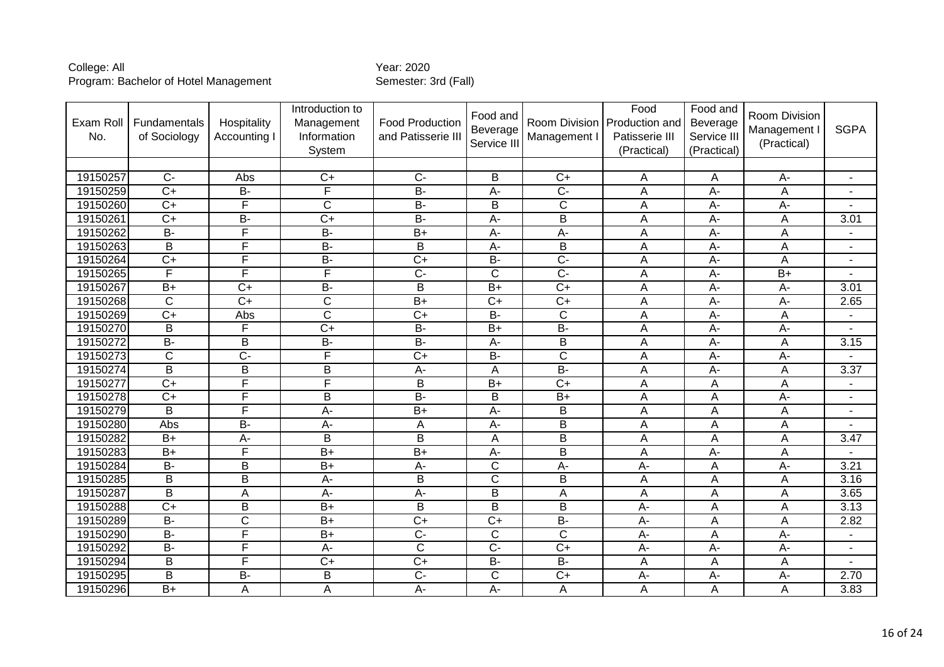| Exam Roll<br>No. | Fundamentals<br>of Sociology | Hospitality<br>Accounting I | Introduction to<br>Management<br>Information<br>System | <b>Food Production</b><br>and Patisserie II | Food and<br>Beverage<br>Service III | Room Division<br>Management I | Food<br>Production and<br>Patisserie III<br>(Practical) | Food and<br>Beverage<br>Service III<br>(Practical) | Room Division<br>Management I<br>(Practical) | <b>SGPA</b>              |
|------------------|------------------------------|-----------------------------|--------------------------------------------------------|---------------------------------------------|-------------------------------------|-------------------------------|---------------------------------------------------------|----------------------------------------------------|----------------------------------------------|--------------------------|
|                  |                              |                             |                                                        |                                             |                                     |                               |                                                         |                                                    |                                              |                          |
| 19150257         | $C-$                         | Abs                         | $C+$                                                   | $\overline{C}$                              | B                                   | $\overline{C+}$               | Α                                                       | Α                                                  | А-                                           | ٠                        |
| 19150259         | $C+$                         | $B -$                       | F                                                      | $B -$                                       | $\overline{A}$ -                    | $\overline{C}$                | Ā                                                       | $\overline{A}$ -                                   | Α                                            | $\mathbf{r}$             |
| 19150260         | $C+$                         | F                           | $\overline{\text{C}}$                                  | $\overline{B}$                              | B                                   | $\overline{C}$                | A                                                       | $A -$                                              | A-                                           |                          |
| 19150261         | $C+$                         | <b>B-</b>                   | $\overline{C}$                                         | $\overline{B}$                              | A-                                  | B                             | Α                                                       | $A -$                                              | Α                                            | 3.01                     |
| 19150262         | $B -$                        | F                           | $B -$                                                  | $\overline{B+}$                             | A-                                  | $A -$                         | Α                                                       | $\overline{A}$                                     | A                                            | $\blacksquare$           |
| 19150263         | $\overline{B}$               | F                           | $\overline{B}$                                         | $\overline{B}$                              | A-                                  | $\overline{B}$                | A                                                       | $A -$                                              | A                                            | $\blacksquare$           |
| 19150264         | $\overline{C+}$              | $\overline{\mathsf{F}}$     | $B -$                                                  | $\overline{C+}$                             | $B -$                               | $\overline{C}$                | A                                                       | $A -$                                              | A                                            | $\blacksquare$           |
| 19150265         | F                            | F                           | F                                                      | $\overline{C}$                              | $\overline{\text{c}}$               | $\overline{C}$                | A                                                       | A-                                                 | $\overline{B+}$                              |                          |
| 19150267         | $B+$                         | $\overline{C}$              | $B -$                                                  | B                                           | $\overline{B+}$                     | $\overline{C+}$               | Α                                                       | $A -$                                              | A-                                           | 3.01                     |
| 19150268         | C                            | $\overline{C}$              | $\overline{\text{C}}$                                  | $\overline{B+}$                             | $C+$                                | $\overline{C+}$               | Α                                                       | $A -$                                              | A-                                           | 2.65                     |
| 19150269         | $C+$                         | Abs                         | $\overline{\text{c}}$                                  | $\overline{C+}$                             | $B -$                               | $\overline{\mathsf{C}}$       | A                                                       | $\overline{A}$                                     | A                                            |                          |
| 19150270         | B                            | $\mathsf{F}$                | $\overline{C}$                                         | <b>B-</b>                                   | $B+$                                | $B -$                         | Α                                                       | $A-$                                               | A-                                           | $\blacksquare$           |
| 19150272         | $\overline{B}$               | B                           | $B -$                                                  | $B -$                                       | $\overline{A}$ -                    | $\overline{B}$                | A                                                       | $\overline{A}$                                     | A                                            | 3.15                     |
| 19150273         | $\overline{\text{C}}$        | $\overline{C}$              | F                                                      | $\overline{C+}$                             | $\overline{B}$                      | $\overline{C}$                | Α                                                       | $A -$                                              | $\overline{A}$ -                             |                          |
| 19150274         | $\overline{B}$               | B                           | $\overline{B}$                                         | $\overline{A}$ -                            | A                                   | $B -$                         | A                                                       | $\overline{A}$                                     | A                                            | 3.37                     |
| 19150277         | $\overline{C}$               | F                           | F                                                      | B                                           | $\overline{B+}$                     | $\overline{C+}$               | A                                                       | A                                                  | Α                                            | $\overline{\phantom{a}}$ |
| 19150278         | $\overline{C}$               | F                           | $\overline{\mathsf{B}}$                                | $\overline{B}$                              | $\overline{B}$                      | $\overline{B+}$               | Ā                                                       | $\overline{A}$                                     | $\overline{A}$ -                             | $\blacksquare$           |
| 19150279         | B                            | F                           | A-                                                     | $\overline{B+}$                             | A-                                  | B                             | A                                                       | A                                                  | A                                            | $\blacksquare$           |
| 19150280         | Abs                          | <b>B-</b>                   | A-                                                     | A                                           | A-                                  | B                             | Α                                                       | A                                                  | А                                            |                          |
| 19150282         | $\overline{B}$               | $A -$                       | $\overline{B}$                                         | $\overline{B}$                              | A                                   | $\overline{B}$                | A                                                       | A                                                  | Α                                            | 3.47                     |
| 19150283         | $B+$                         | F                           | $B+$                                                   | $B+$                                        | А-                                  | B                             | Α                                                       | A-                                                 | A                                            |                          |
| 19150284         | $B -$                        | $\sf B$                     | $B+$                                                   | $A -$                                       | C                                   | А-                            | A-                                                      | Α                                                  | A-                                           | 3.21                     |
| 19150285         | B                            | $\overline{B}$              | $\overline{A}$ -                                       | $\overline{B}$                              | $\overline{\text{c}}$               | $\overline{B}$                | Α                                                       | A                                                  | A                                            | 3.16                     |
| 19150287         | $\overline{B}$               | A                           | A-                                                     | A-                                          | $\overline{B}$                      | A                             | A                                                       | A                                                  | A                                            | 3.65                     |
| 19150288         | $C+$                         | B                           | $B+$                                                   | B                                           | B                                   | B                             | A-                                                      | Α                                                  | A                                            | 3.13                     |
| 19150289         | $\overline{B}$               | $\overline{\mathsf{C}}$     | $B+$                                                   | $\overline{C+}$                             | $\overline{C}$                      | $B -$                         | A-                                                      | Α                                                  | A                                            | 2.82                     |
| 19150290         | $\overline{B}$               | F                           | $B+$                                                   | $\overline{C}$                              | C                                   | $\overline{C}$                | A-                                                      | A                                                  | A-                                           | $\overline{\phantom{a}}$ |
| 19150292         | <b>B-</b>                    | F                           | A-                                                     | $\mathsf C$                                 | $\overline{C}$                      | $\overline{C}$                | A-                                                      | $A -$                                              | A-                                           | $\blacksquare$           |
| 19150294         | B                            | F                           | $\overline{C+}$                                        | $\overline{C+}$                             | $B -$                               | $B -$                         | A                                                       | A                                                  | A                                            |                          |
| 19150295         | B                            | $\overline{B}$              | B                                                      | $\overline{C}$                              | C                                   | $\overline{C+}$               | $A-$                                                    | $A -$                                              | A-                                           | 2.70                     |
| 19150296         | $\overline{B+}$              | A                           | A                                                      | $A -$                                       | A-                                  | A                             | A                                                       | A                                                  | A                                            | 3.83                     |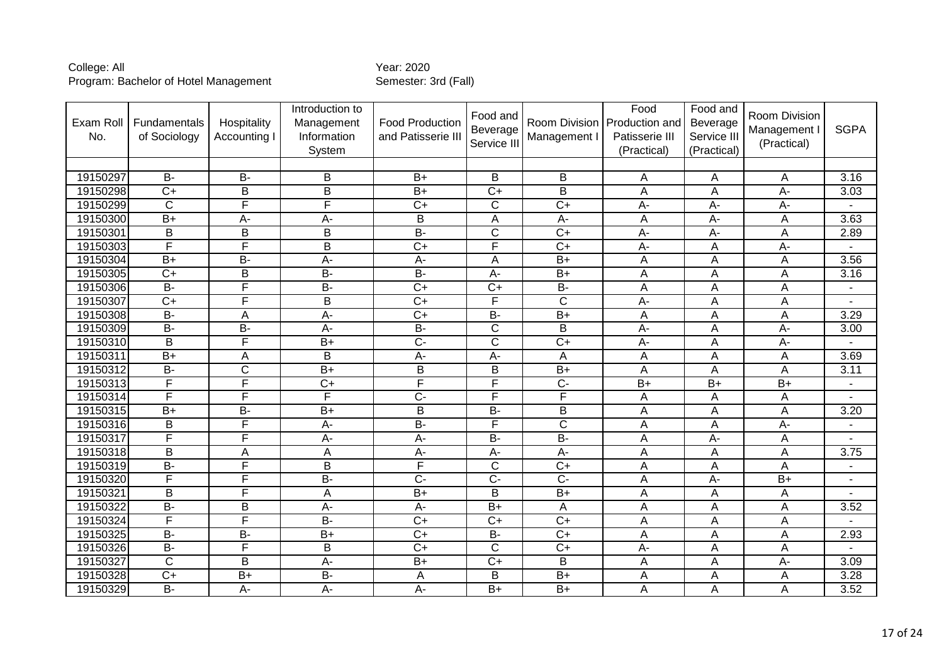| Exam Roll<br>No. | Fundamentals<br>of Sociology | Hospitality<br>Accounting I | Introduction to<br>Management<br>Information<br>System | <b>Food Production</b><br>and Patisserie III | Food and<br>Beverage<br>Service III | Room Division<br>Management I | Food<br>Production and<br>Patisserie III<br>(Practical) | Food and<br>Beverage<br>Service III<br>(Practical) | Room Division<br>Management I<br>(Practical) | <b>SGPA</b>       |
|------------------|------------------------------|-----------------------------|--------------------------------------------------------|----------------------------------------------|-------------------------------------|-------------------------------|---------------------------------------------------------|----------------------------------------------------|----------------------------------------------|-------------------|
|                  |                              |                             |                                                        |                                              |                                     |                               |                                                         |                                                    |                                              |                   |
| 19150297         | $\overline{B}$               | <b>B-</b>                   | B                                                      | $B+$                                         | B                                   | B                             | Α                                                       | A                                                  | A                                            | 3.16              |
| 19150298         | $\overline{C}$               | B                           | B                                                      | B+                                           | $\overline{C+}$                     | B                             | Α                                                       | A                                                  | A-                                           | 3.03              |
| 19150299         | $\overline{C}$               | F                           | F                                                      | $\overline{C+}$                              | C                                   | $\overline{C+}$               | A-                                                      | $A -$                                              | A-                                           |                   |
| 19150300         | $B+$                         | A-                          | A-                                                     | B                                            | A                                   | A-                            | A                                                       | $A -$                                              | A                                            | 3.63              |
| 19150301         | $\overline{B}$               | $\overline{B}$              | $\overline{B}$                                         | $\overline{B}$                               | $\overline{\text{c}}$               | $\overline{C+}$               | $\overline{A}$ -                                        | $\overline{A}$                                     | $\overline{A}$                               | 2.89              |
| 19150303         | F                            | $\overline{\mathsf{F}}$     | B                                                      | $C+$                                         | F                                   | $C+$                          | A-                                                      | A                                                  | A-                                           |                   |
| 19150304         | $\overline{B+}$              | $B -$                       | $\overline{A}$                                         | $\overline{A}$                               | A                                   | $B+$                          | A                                                       | A                                                  | A                                            | 3.56              |
| 19150305         | $\overline{C+}$              | $\overline{B}$              | $\overline{B}$                                         | $\overline{B}$                               | $\overline{A}$ -                    | $B+$                          | A                                                       | A                                                  | A                                            | $\overline{3.16}$ |
| 19150306         | $B -$                        | F                           | $B -$                                                  | $\overline{C+}$                              | $\overline{C+}$                     | $B -$                         | A                                                       | A                                                  | А                                            |                   |
| 19150307         | $\overline{C}$               | $\overline{\mathsf{F}}$     | B                                                      | $\overline{C+}$                              | F                                   | $\overline{C}$                | A-                                                      | A                                                  | A                                            | $\blacksquare$    |
| 19150308         | $B -$                        | A                           | $\overline{A}$ -                                       | $\overline{C+}$                              | $B -$                               | $B+$                          | A                                                       | A                                                  | A                                            | 3.29              |
| 19150309         | $B -$                        | $\overline{B}$              | A-                                                     | $\overline{B}$                               | $\overline{\text{c}}$               | B                             | A-                                                      | A                                                  | A-                                           | 3.00              |
| 19150310         | B                            | F                           | $B+$                                                   | $\overline{C}$                               | $\overline{\text{c}}$               | $\overline{C+}$               | $A -$                                                   | A                                                  | A-                                           |                   |
| 19150311         | $B+$                         | A                           | $\overline{\mathsf{B}}$                                | $\overline{A}$                               | $A -$                               | A                             | Α                                                       | A                                                  | A                                            | 3.69              |
| 19150312         | $\overline{B}$               | C                           | $\overline{B+}$                                        | B                                            | B                                   | $\overline{B+}$               | A                                                       | A                                                  | A                                            | 3.11              |
| 19150313         | F                            | F                           | $\overline{C+}$                                        | F                                            | F                                   | $\overline{C}$                | $\overline{B+}$                                         | $\overline{B+}$                                    | $\overline{B+}$                              |                   |
| 19150314         | F                            | F                           | F                                                      | $\overline{C}$                               | F                                   | F                             | A                                                       | A                                                  | A                                            | $\overline{a}$    |
| 19150315         | $\overline{B+}$              | $B -$                       | $B+$                                                   | B                                            | $\overline{B}$                      | B                             | Α                                                       | A                                                  | A                                            | 3.20              |
| 19150316         | B                            | F                           | A-                                                     | $\overline{B}$                               | F                                   | $\overline{\text{c}}$         | Α                                                       | A                                                  | A-                                           | $\blacksquare$    |
| 19150317         | F                            | F                           | A-                                                     | $A -$                                        | $\overline{B}$                      | $B -$                         | Α                                                       | $A -$                                              | А                                            |                   |
| 19150318         | B                            | A                           | A                                                      | $\overline{A}$                               | A-                                  | $\overline{A}$                | Α                                                       | A                                                  | A                                            | 3.75              |
| 19150319         | $B -$                        | $\overline{F}$              | $\mathsf B$                                            | F                                            | $\mathsf C$                         | $\overline{C+}$               | A                                                       | A                                                  | A                                            | $\blacksquare$    |
| 19150320         | F                            | F                           | $B -$                                                  | $\overline{C}$                               | $\overline{C}$                      | $\overline{C}$                | Α                                                       | $\overline{A}$                                     | $B+$                                         | ٠                 |
| 19150321         | B                            | F                           | A                                                      | $\overline{B+}$                              | B                                   | $\overline{B+}$               | A                                                       | A                                                  | Α                                            |                   |
| 19150322         | $\overline{B}$               | B                           | A-                                                     | A-                                           | $B+$                                | Α                             | Α                                                       | A                                                  | A                                            | 3.52              |
| 19150324         | F                            | F                           | $B -$                                                  | $\overline{C+}$                              | $\overline{C+}$                     | $\overline{C+}$               | A                                                       | A                                                  | A                                            |                   |
| 19150325         | <b>B-</b>                    | <b>B-</b>                   | $B+$                                                   | $C+$                                         | <b>B-</b>                           | $C+$                          | Α                                                       | Α                                                  | Α                                            | 2.93              |
| 19150326         | $\overline{B}$               | $\overline{\mathsf{F}}$     | $\overline{B}$                                         | $\overline{C}$                               | $\overline{\text{c}}$               | $\overline{C+}$               | A-                                                      | A                                                  | $\mathsf{A}$                                 |                   |
| 19150327         | C                            | B                           | $\overline{A}$ -                                       | $B+$                                         | $\overline{C+}$                     | B                             | Α                                                       | A                                                  | A-                                           | 3.09              |
| 19150328         | $\overline{C}$               | $\overline{B+}$             | $B -$                                                  | $\overline{A}$                               | B                                   | $\overline{B+}$               | A                                                       | A                                                  | A                                            | 3.28              |
| 19150329         | $B -$                        | A-                          | A-                                                     | A-                                           | $\overline{B+}$                     | $\overline{B+}$               | Α                                                       | A                                                  | A                                            | 3.52              |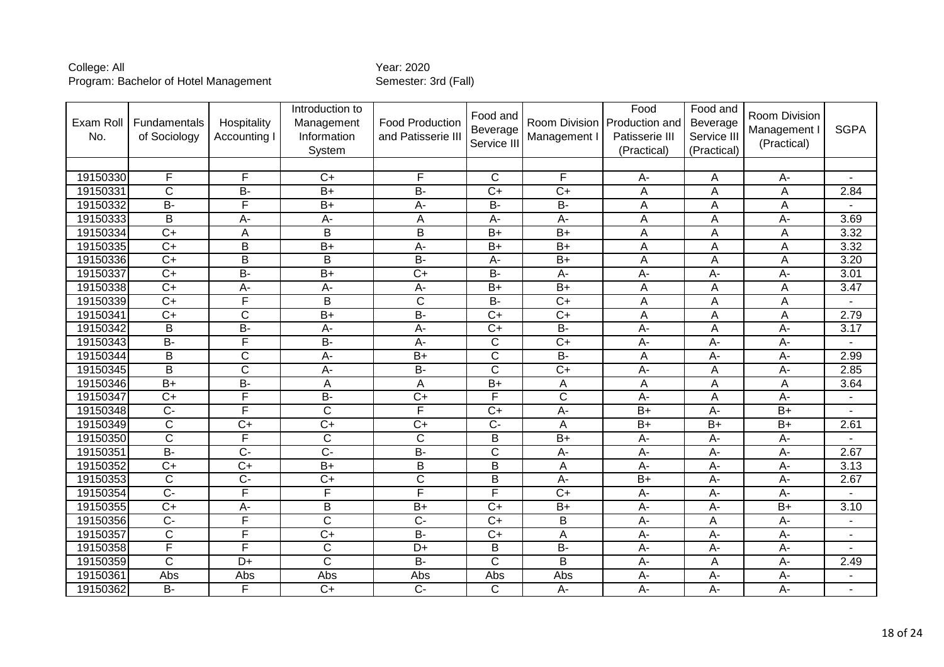| Exam Roll<br>No. | Fundamentals<br>of Sociology | Hospitality<br>Accounting I | Introduction to<br>Management<br>Information<br>System | <b>Food Production</b><br>and Patisserie III | Food and<br>Beverage<br>Service III | Management I              | Food<br>Room Division Production and<br>Patisserie III<br>(Practical) | Food and<br>Beverage<br>Service III<br>(Practical) | Room Division<br>Management I<br>(Practical) | <b>SGPA</b>    |
|------------------|------------------------------|-----------------------------|--------------------------------------------------------|----------------------------------------------|-------------------------------------|---------------------------|-----------------------------------------------------------------------|----------------------------------------------------|----------------------------------------------|----------------|
|                  |                              |                             |                                                        |                                              |                                     |                           |                                                                       |                                                    |                                              |                |
| 19150330         | F                            | F                           | $C+$                                                   | F                                            | $\mathsf{C}$                        | F                         | A-                                                                    | Α                                                  | $A-$                                         | $\blacksquare$ |
| 19150331         | $\overline{\mathsf{C}}$      | $\overline{B}$              | $\overline{B+}$                                        | $B -$                                        | $\overline{C+}$                     | $\overline{C+}$           | Α                                                                     | A                                                  | A                                            | 2.84           |
| 19150332         | <b>B-</b>                    | F                           | $B+$                                                   | A-                                           | B-                                  | $B -$                     | Α                                                                     | A                                                  | А                                            |                |
| 19150333         | $\overline{B}$               | $\overline{A}$              | $\overline{A}$ -                                       | $\overline{A}$                               | $\overline{A}$                      | $\overline{A}$            | A                                                                     | A                                                  | $\overline{A}$                               | 3.69           |
| 19150334         | $\overline{C}$               | A                           | $\overline{B}$                                         | $\overline{B}$                               | $\overline{B+}$                     | $\overline{B+}$           | A                                                                     | A                                                  | A                                            | 3.32           |
| 19150335         | $\overline{C}$               | B                           | $\overline{B+}$                                        | $A -$                                        | $B+$                                | $\overline{B}$            | Α                                                                     | A                                                  | A                                            | 3.32           |
| 19150336         | $\overline{C}$               | $\overline{B}$              | $\overline{B}$                                         | $B -$                                        | A-                                  | $\overline{B+}$           | A                                                                     | A                                                  | A                                            | 3.20           |
| 19150337         | $C+$                         | $\overline{B}$              | $\overline{B+}$                                        | $\overline{C+}$                              | $B -$                               | $\overline{A}$            | $\overline{A}$ -                                                      | $\overline{A}$                                     | $\overline{A}$ -                             | 3.01           |
| 19150338         | $\overline{C+}$              | A-                          | A-                                                     | $A -$                                        | $\overline{B+}$                     | $\overline{B+}$           | A                                                                     | A                                                  | A                                            | 3.47           |
| 19150339         | $\overline{C}$               | $\overline{\mathsf{F}}$     | B                                                      | $\overline{C}$                               | $\overline{B}$                      | $\overline{C+}$           | Α                                                                     | Α                                                  | А                                            |                |
| 19150341         | $C+$                         | $\overline{\mathsf{C}}$     | $\overline{B+}$                                        | $B -$                                        | $\overline{C+}$                     | $\overline{C+}$           | A                                                                     | A                                                  | A                                            | 2.79           |
| 19150342         | B                            | $B -$                       | A-                                                     | $A -$                                        | $\overline{C}$                      | $\overline{B}$            | A-                                                                    | A                                                  | A-                                           | 3.17           |
| 19150343         | <b>B-</b>                    | $\overline{\mathsf{F}}$     | $\overline{B}$                                         | $A -$                                        | C                                   | $\overline{C+}$           | A-                                                                    | $A-$                                               | А-                                           | Ĭ.             |
| 19150344         | $\overline{B}$               | $\overline{\mathsf{C}}$     | $A -$                                                  | $\overline{B+}$                              | $\overline{\text{c}}$               | $\overline{B}$            | Ā                                                                     | $A -$                                              | $A -$                                        | 2.99           |
| 19150345         | B                            | $\overline{C}$              | A-                                                     | $\overline{B}$                               | $\overline{\text{c}}$               | $\overline{C+}$           | A-                                                                    | A                                                  | A-                                           | 2.85           |
| 19150346         | $\overline{B+}$              | $\overline{B}$              | A                                                      | A                                            | $\overline{B+}$                     | $\boldsymbol{\mathsf{A}}$ | A                                                                     | A                                                  | A                                            | 3.64           |
| 19150347         | $\overline{C+}$              | F                           | $\overline{B}$                                         | $\overline{C+}$                              | F                                   | $\overline{\mathsf{C}}$   | $\overline{A}$ -                                                      | $\overline{A}$                                     | $\overline{A}$ -                             |                |
| 19150348         | $\overline{C}$               | F                           | $\overline{\text{c}}$                                  | $\overline{\mathsf{F}}$                      | $\overline{C}$                      | $\overline{A}$            | $\overline{B+}$                                                       | $\overline{A}$                                     | $\overline{B+}$                              |                |
| 19150349         | $\overline{C}$               | $\overline{C}$              | $\overline{C}$                                         | $\overline{C+}$                              | $\overline{C}$                      | $\boldsymbol{\mathsf{A}}$ | $B+$                                                                  | $B+$                                               | $B+$                                         | 2.61           |
| 19150350         | $\overline{\text{c}}$        | F                           | $\overline{\text{c}}$                                  | $\overline{\text{c}}$                        | $\overline{B}$                      | $\overline{B+}$           | $A -$                                                                 | $\overline{A}$                                     | A-                                           |                |
| 19150351         | $B -$                        | $\overline{C}$              | $\overline{C}$                                         | $\overline{B}$                               | $\overline{\text{c}}$               | $A -$                     | A-                                                                    | $A -$                                              | A-                                           | 2.67           |
| 19150352         | $\overline{C}$               | $\overline{C+}$             | $\overline{B+}$                                        | B                                            | B                                   | A                         | A-                                                                    | $A -$                                              | A-                                           | 3.13           |
| 19150353         | $\overline{\text{c}}$        | $\overline{C}$              | $\overline{C+}$                                        | $\overline{\text{c}}$                        | $\overline{B}$                      | $A -$                     | $B+$                                                                  | $A -$                                              | $\overline{A}$ -                             | 2.67           |
| 19150354         | $\overline{C}$               | F                           | F                                                      | F                                            | F                                   | $\overline{C+}$           | $A -$                                                                 | $A -$                                              | A-                                           |                |
| 19150355         | $\overline{C}$               | A-                          | $\overline{B}$                                         | $\overline{B+}$                              | $\overline{C}$                      | $B+$                      | A-                                                                    | $A-$                                               | $B+$                                         | 3.10           |
| 19150356         | $\overline{C}$               | F                           | $\overline{\text{c}}$                                  | $\overline{C}$                               | $\overline{C+}$                     | $\overline{B}$            | A-                                                                    | A                                                  | $\overline{A}$ -                             |                |
| 19150357         | C                            | F                           | $\overline{C}$                                         | $B -$                                        | $C+$                                | A                         | A-                                                                    | $A-$                                               | A-                                           | $\blacksquare$ |
| 19150358         | F                            | F                           | $\overline{\text{c}}$                                  | $\overline{D+}$                              | B                                   | $B -$                     | $\overline{A}$ -                                                      | $\overline{A}$                                     | $\overline{A}$                               | L.             |
| 19150359         | $\overline{C}$               | $\overline{D+}$             | $\overline{\mathsf{C}}$                                | $\overline{B}$                               | $\overline{\text{c}}$               | $\overline{B}$            | A-                                                                    | Α                                                  | А-                                           | 2.49           |
| 19150361         | Abs                          | Abs                         | Abs                                                    | Abs                                          | Abs                                 | Abs                       | $A -$                                                                 | $A -$                                              | A-                                           | $\blacksquare$ |
| 19150362         | $B -$                        | F                           | $\overline{C+}$                                        | $\overline{C}$                               | C                                   | А-                        | A-                                                                    | $A -$                                              | А-                                           | $\blacksquare$ |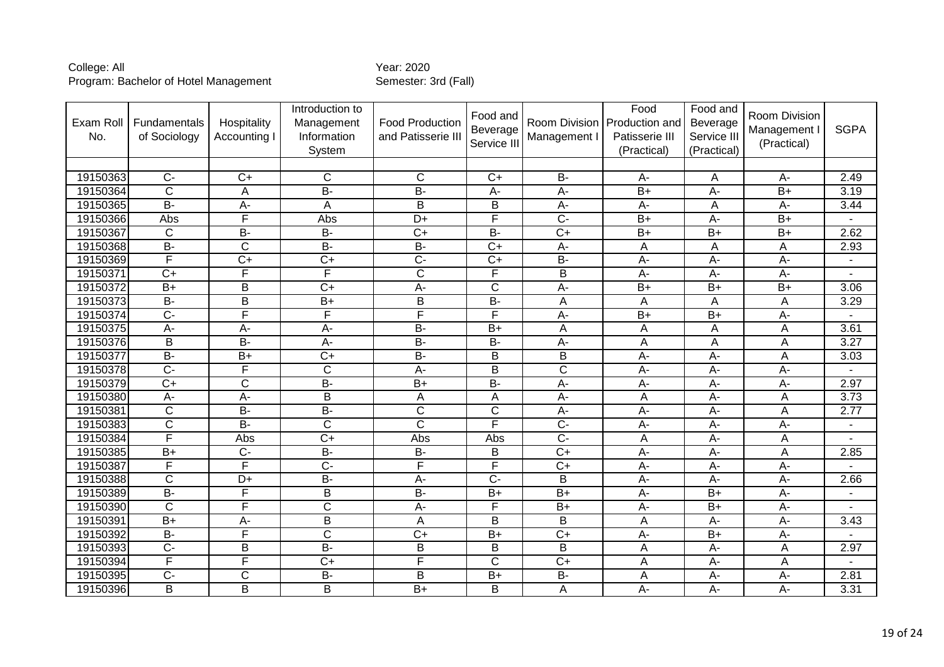| Exam Roll<br>No. | <b>Fundamentals</b><br>of Sociology | Hospitality<br>Accounting I | Introduction to<br>Management<br>Information<br>System | <b>Food Production</b><br>and Patisserie III | Food and<br>Beverage<br>Service III | Management I     | Food<br>Room Division Production and<br>Patisserie III<br>(Practical) | Food and<br><b>Beverage</b><br>Service III<br>(Practical) | Room Division<br>Management I<br>(Practical) | <b>SGPA</b>    |
|------------------|-------------------------------------|-----------------------------|--------------------------------------------------------|----------------------------------------------|-------------------------------------|------------------|-----------------------------------------------------------------------|-----------------------------------------------------------|----------------------------------------------|----------------|
| 19150363         | $\overline{C}$                      | $\overline{C}$              | $\mathsf{C}$                                           | $\overline{C}$                               | $C+$                                | $\overline{B}$   | $A -$                                                                 |                                                           | A-                                           | 2.49           |
| 19150364         | $\overline{C}$                      |                             | $\overline{B}$                                         | $\overline{B}$                               |                                     |                  |                                                                       | A                                                         | $\overline{B+}$                              | 3.19           |
|                  | $\overline{B}$                      | A                           |                                                        |                                              | A-                                  | $\overline{A}$   | $B+$                                                                  | $\overline{A}$                                            |                                              |                |
| 19150365         |                                     | A-                          | A                                                      | B                                            | B                                   | $A-$             | A-                                                                    | A                                                         | A-                                           | 3.44           |
| 19150366         | Abs                                 | F                           | Abs                                                    | D+                                           | F                                   | $\overline{C}$   | $\overline{B+}$                                                       | $A -$                                                     | $B+$                                         |                |
| 19150367         | $\overline{C}$                      | $\overline{B}$              | $B -$                                                  | $\overline{C+}$                              | $B -$                               | $\overline{C+}$  | $\overline{B+}$                                                       | $B+$                                                      | $\overline{B+}$                              | 2.62           |
| 19150368         | <b>B-</b>                           | $\mathsf{C}$                | <b>B-</b>                                              | <b>B-</b>                                    | $\overline{C}$                      | А-               | Α                                                                     | A                                                         | A                                            | 2.93           |
| 19150369         | F                                   | $\overline{C+}$             | $\overline{C+}$                                        | $\overline{C}$                               | $\overline{C}$                      | $B -$            | A-                                                                    | $A -$                                                     | $\overline{A}$                               | $\blacksquare$ |
| 19150371         | $\overline{C}$                      | F                           | F                                                      | $\overline{\mathsf{C}}$                      | F                                   | $\overline{B}$   | A-                                                                    | $\overline{A}$                                            | A-                                           |                |
| 19150372         | $\overline{B+}$                     | B                           | $\overline{C}$                                         | $A -$                                        | C                                   | A-               | $B+$                                                                  | $B+$                                                      | $B+$                                         | 3.06           |
| 19150373         | $\overline{B}$                      | $\sf B$                     | $B+$                                                   | $\mathsf B$                                  | $B -$                               | A                | Α                                                                     | A                                                         | Α                                            | 3.29           |
| 19150374         | $\overline{C}$                      | F                           | F                                                      | F                                            | F                                   | A-               | $\overline{B+}$                                                       | $B+$                                                      | A-                                           |                |
| 19150375         | A-                                  | A-                          | A-                                                     | $\overline{B}$                               | $B+$                                | A                | Α                                                                     | A                                                         | А                                            | 3.61           |
| 19150376         | B                                   | $\overline{B}$              | A-                                                     | $\overline{B}$                               | <b>B-</b>                           | А-               | A                                                                     | A                                                         | A                                            | 3.27           |
| 19150377         | $B -$                               | $\overline{B+}$             | $\overline{C}$                                         | $B -$                                        | $\overline{B}$                      | $\overline{B}$   | A-                                                                    | A-                                                        | A                                            | 3.03           |
| 19150378         | $\overline{C}$                      | F                           | $\overline{C}$                                         | $\overline{A}$ -                             | B                                   | $\overline{C}$   | A-                                                                    | $\overline{A}$                                            | A-                                           |                |
| 19150379         | $C+$                                | $\mathsf C$                 | $\overline{B}$                                         | $B+$                                         | <b>B-</b>                           | А-               | $A-$                                                                  | $A -$                                                     | А-                                           | 2.97           |
| 19150380         | $A -$                               | $A -$                       | $\overline{\mathsf{B}}$                                | $\overline{A}$                               | $\overline{A}$                      | $A -$            | Ā                                                                     | $A -$                                                     | $\overline{A}$                               | 3.73           |
| 19150381         | C                                   | <b>B-</b>                   | <b>B-</b>                                              | $\mathsf C$                                  | C                                   | A-               | A-                                                                    | $A -$                                                     | A                                            | 2.77           |
| 19150383         | $\overline{\text{c}}$               | $\overline{B}$              | $\overline{C}$                                         | $\overline{C}$                               | F                                   | $\overline{C}$   | A-                                                                    | $A-$                                                      | А-                                           | $\blacksquare$ |
| 19150384         | F                                   | Abs                         | $\overline{C+}$                                        | Abs                                          | Abs                                 | $\overline{C}$ - | Ā                                                                     | $A -$                                                     | $\overline{A}$                               |                |
| 19150385         | $B+$                                | $C-$                        | <b>B-</b>                                              | <b>B-</b>                                    | B                                   | $\overline{C+}$  | A-                                                                    | A-                                                        | A                                            | 2.85           |
| 19150387         | F                                   | F                           | $\overline{C}$                                         | F                                            | F                                   | $\overline{C+}$  | $A -$                                                                 | $A -$                                                     | A-                                           |                |
| 19150388         | $\overline{\text{c}}$               | $\overline{D+}$             | $B -$                                                  | $A -$                                        | $\overline{C}$                      | B                | A-                                                                    | A-                                                        | А-                                           | 2.66           |
| 19150389         | $B -$                               | F                           | B                                                      | $\overline{B}$                               | $\overline{B+}$                     | $\overline{B+}$  | A-                                                                    | $B+$                                                      | A-                                           |                |
| 19150390         | $\mathsf{C}$                        | F                           | $\overline{\text{c}}$                                  | $A -$                                        | F                                   | $B+$             | $A -$                                                                 | $B+$                                                      | $A-$                                         | $\blacksquare$ |
| 19150391         | $B+$                                | А-                          | $\overline{\mathsf{B}}$                                | $\overline{A}$                               | B                                   | $\overline{B}$   | Α                                                                     | A-                                                        | А-                                           | 3.43           |
| 19150392         | $\overline{B}$                      | F                           | $\overline{\text{c}}$                                  | $\overline{C+}$                              | $\overline{B+}$                     | $\overline{C+}$  | A-                                                                    | $\overline{B+}$                                           | A-                                           |                |
| 19150393         | $C -$                               | B                           | $\overline{B}$                                         | B                                            | B                                   | B                | Α                                                                     | $A -$                                                     | Α                                            | 2.97           |
| 19150394         | F                                   | F                           | $\overline{C}$                                         | F                                            | $\overline{\text{c}}$               | $\overline{C+}$  | Α                                                                     | $A -$                                                     | A                                            |                |
| 19150395         | $\overline{C}$                      | $\overline{\text{c}}$       | $B -$                                                  | B                                            | $B+$                                | $B -$            | A                                                                     | $A -$                                                     | A-                                           | 2.81           |
| 19150396         | B                                   | B                           | B                                                      | $B+$                                         | B                                   | A                | $A -$                                                                 | $A -$                                                     | A-                                           | 3.31           |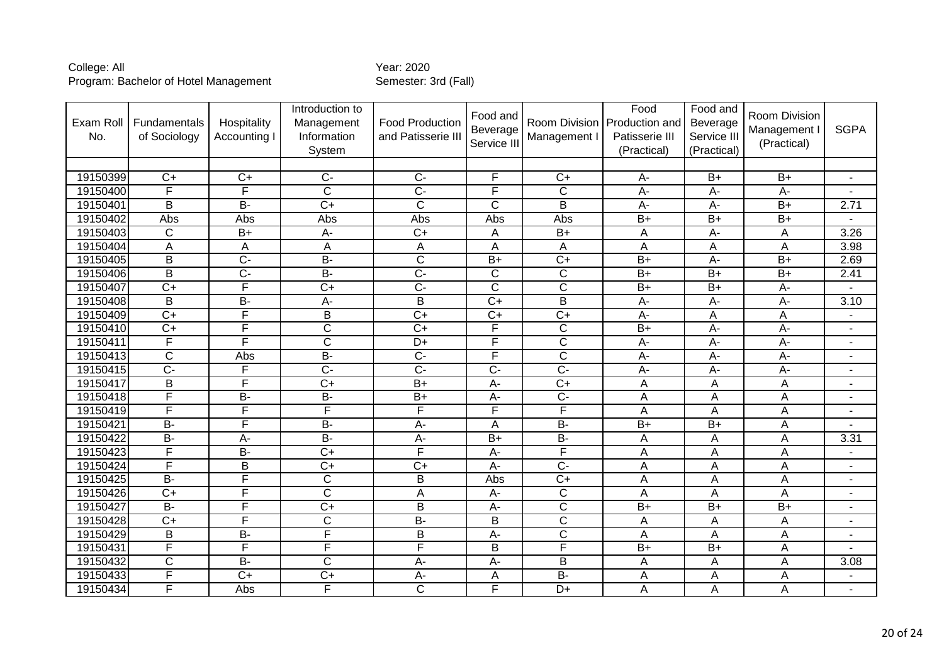| Exam Roll<br>No. | Fundamentals<br>of Sociology | Hospitality<br>Accounting I | Introduction to<br>Management<br>Information<br>System | <b>Food Production</b><br>and Patisserie III | Food and<br>Beverage<br>Service III | Room Division<br>Management I | Food<br>Production and<br>Patisserie III<br>(Practical) | Food and<br>Beverage<br>Service III<br>(Practical) | Room Division<br>Management I<br>(Practical) | <b>SGPA</b>              |
|------------------|------------------------------|-----------------------------|--------------------------------------------------------|----------------------------------------------|-------------------------------------|-------------------------------|---------------------------------------------------------|----------------------------------------------------|----------------------------------------------|--------------------------|
|                  |                              |                             |                                                        |                                              |                                     |                               |                                                         |                                                    |                                              |                          |
| 19150399         | $C+$                         | $C+$                        | $C -$                                                  | $C -$                                        | F                                   | $C+$                          | A-                                                      | $B+$                                               | $B+$                                         | $\blacksquare$           |
| 19150400         | F                            | F                           | $\overline{\text{c}}$                                  | $\overline{C}$                               | F                                   | $\overline{\text{c}}$         | $\overline{A}$                                          | $\overline{A}$                                     | $\overline{A}$ -                             |                          |
| 19150401         | B                            | <b>B-</b>                   | $\overline{C+}$                                        | C                                            | $\mathsf{C}$                        | B                             | A-                                                      | $A-$                                               | $B+$                                         | 2.71                     |
| 19150402         | Abs                          | Abs                         | Abs                                                    | Abs                                          | Abs                                 | Abs                           | $\overline{B+}$                                         | $\overline{B+}$                                    | $\overline{B+}$                              |                          |
| 19150403         | $\overline{C}$               | $\overline{B+}$             | A-                                                     | $\overline{C}$                               | A                                   | $\overline{B+}$               | A                                                       | A-                                                 | А                                            | 3.26                     |
| 19150404         | Α                            | A                           | A                                                      | Α                                            | A                                   | Α                             | A                                                       | A                                                  | A                                            | 3.98                     |
| 19150405         | B                            | $\overline{C}$              | $B -$                                                  | $\overline{\text{C}}$                        | $\overline{B+}$                     | $\overline{C+}$               | $\overline{B+}$                                         | $\overline{A}$                                     | $B+$                                         | 2.69                     |
| 19150406         | $\overline{B}$               | $\overline{C}$              | $\overline{B}$                                         | $\overline{C}$                               | $\overline{C}$                      | $\overline{C}$                | $\overline{B+}$                                         | $B+$                                               | $\overline{B+}$                              | 2.41                     |
| 19150407         | $\overline{C}$               | F                           | $\overline{C+}$                                        | $\overline{C}$                               | $\overline{\text{c}}$               | $\overline{C}$                | $B+$                                                    | $B+$                                               | A-                                           |                          |
| 19150408         | B                            | $\overline{B}$              | А-                                                     | B                                            | $\overline{C+}$                     | $\overline{B}$                | $A-$                                                    | $A-$                                               | $A-$                                         | 3.10                     |
| 19150409         | $\overline{C}$               | F                           | $\overline{B}$                                         | $\overline{C+}$                              | $\overline{C+}$                     | $\overline{C}$                | A-                                                      | A                                                  | A                                            | $\overline{\phantom{a}}$ |
| 19150410         | $\overline{C+}$              | F                           | $\overline{\mathsf{C}}$                                | $\overline{C+}$                              | F                                   | $\overline{C}$                | $B+$                                                    | $A-$                                               | $A -$                                        | $\blacksquare$           |
| 19150411         | F                            | F                           | $\overline{\text{c}}$                                  | $D+$                                         | F                                   | $\overline{C}$                | A-                                                      | A-                                                 | A-                                           | $\blacksquare$           |
| 19150413         | $\overline{C}$               | Abs                         | $B -$                                                  | $\overline{C}$                               | F                                   | $\overline{\mathsf{C}}$       | $\overline{A}$ -                                        | $A -$                                              | $\overline{A}$ -                             | $\blacksquare$           |
| 19150415         | $\overline{C}$               | F                           | $\overline{C}$                                         | $\overline{C}$                               | $\overline{C}$                      | $\overline{C}$                | A-                                                      | A-                                                 | $\overline{A}$                               | ٠                        |
| 19150417         | B                            | F                           | $\overline{C+}$                                        | $\overline{B+}$                              | A-                                  | $\overline{C+}$               | A                                                       | A                                                  | A                                            | $\blacksquare$           |
| 19150418         | F                            | $\overline{B}$              | $B -$                                                  | $\overline{B+}$                              | $A -$                               | $\overline{C}$                | $\overline{A}$                                          | $\overline{A}$                                     | Ā                                            | $\blacksquare$           |
| 19150419         | F                            | F                           | $\overline{\mathsf{F}}$                                | F                                            | F                                   | F                             | A                                                       | A                                                  | A                                            | ٠                        |
| 19150421         | $B -$                        | F                           | $B -$                                                  | $A -$                                        | A                                   | $B -$                         | $B+$                                                    | $B+$                                               | A                                            |                          |
| 19150422         | $B -$                        | $\overline{A}$              | $B -$                                                  | $\overline{A}$                               | $B+$                                | $\overline{B}$                | A                                                       | A                                                  | A                                            | 3.31                     |
| 19150423         | F                            | $B -$                       | $\overline{C+}$                                        | F                                            | $\overline{A}$ -                    | F                             | A                                                       | A                                                  | A                                            | $\blacksquare$           |
| 19150424         | F                            | B                           | $\overline{C+}$                                        | $\overline{C}$                               | A-                                  | $\overline{C}$                | A                                                       | A                                                  | A                                            |                          |
| 19150425         | $B -$                        | F                           | $\overline{\text{C}}$                                  | $\overline{B}$                               | Abs                                 | $\overline{C+}$               | A                                                       | Α                                                  | Α                                            | $\blacksquare$           |
| 19150426         | $\overline{C}$               | F                           | $\overline{\text{c}}$                                  | A                                            | A-                                  | $\overline{C}$                | A                                                       | A                                                  | A                                            | ٠                        |
| 19150427         | <b>B-</b>                    | F                           | $\overline{C}$                                         | B                                            | A-                                  | $\overline{C}$                | $B+$                                                    | $B+$                                               | $B+$                                         | ٠                        |
| 19150428         | $\overline{C}$               | F                           | $\overline{C}$                                         | $\overline{B}$                               | B                                   | $\overline{C}$                | A                                                       | Α                                                  | Α                                            | $\blacksquare$           |
| 19150429         | B                            | $\overline{B}$              | F                                                      | $\overline{B}$                               | A-                                  | $\overline{C}$                | A                                                       | A                                                  | A                                            | $\blacksquare$           |
| 19150431         | F                            | F                           | F                                                      | F                                            | B                                   | F                             | $B+$                                                    | $B+$                                               | A                                            | $\blacksquare$           |
| 19150432         | $\overline{\mathsf{C}}$      | $B -$                       | $\overline{\text{C}}$                                  | $\overline{A}$                               | $A -$                               | $\overline{\mathsf{B}}$       | A                                                       | A                                                  | A                                            | 3.08                     |
| 19150433         | F                            | $C+$                        | $C+$                                                   | A-                                           | A                                   | <b>B-</b>                     | A                                                       | A                                                  | A                                            | $\blacksquare$           |
| 19150434         | F                            | Abs                         | F                                                      | $\overline{\text{C}}$                        | F                                   | $D+$                          | A                                                       | A                                                  | A                                            | $\blacksquare$           |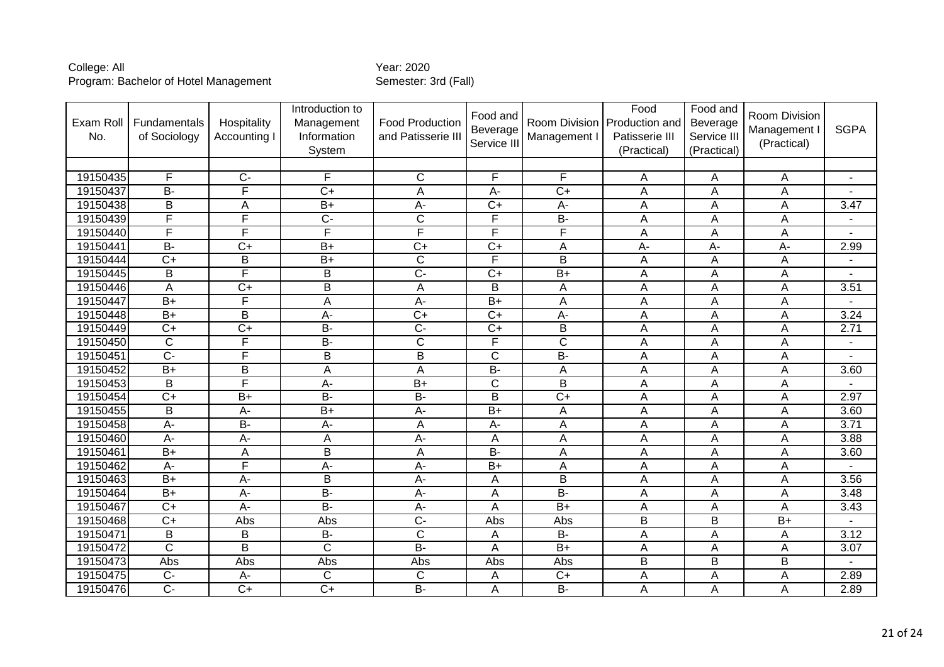| Exam Roll<br>No. | Fundamentals<br>of Sociology | Hospitality<br>Accounting I | Introduction to<br>Management<br>Information<br>System | <b>Food Production</b><br>and Patisserie II | Food and<br>Beverage<br>Service III | Room Division<br>Management I | Food<br>Production and<br>Patisserie III<br>(Practical) | Food and<br>Beverage<br>Service III<br>(Practical) | Room Division<br>Management I<br>(Practical) | <b>SGPA</b>              |
|------------------|------------------------------|-----------------------------|--------------------------------------------------------|---------------------------------------------|-------------------------------------|-------------------------------|---------------------------------------------------------|----------------------------------------------------|----------------------------------------------|--------------------------|
|                  |                              |                             |                                                        |                                             |                                     |                               |                                                         |                                                    |                                              |                          |
| 19150435         | F                            | $C -$                       | F                                                      | $\mathsf{C}$                                | F                                   | F                             | Α                                                       | A                                                  | A                                            | $\blacksquare$           |
| 19150437         | $B -$                        | F                           | $\overline{C+}$                                        | A                                           | $\overline{A}$ -                    | $\overline{C+}$               | A                                                       | A                                                  | A                                            |                          |
| 19150438         | B                            | A                           | $B+$                                                   | $A -$                                       | $C+$                                | $A-$                          | A                                                       | A                                                  | A                                            | 3.47                     |
| 19150439         | F                            | $\overline{\mathsf{F}}$     | $\overline{C}$                                         | $\overline{\text{C}}$                       | F                                   | $\overline{B}$                | A                                                       | A                                                  | A                                            | $\blacksquare$           |
| 19150440         | F                            | F                           | F                                                      | F                                           | F                                   | F                             | Α                                                       | A                                                  | A                                            |                          |
| 19150441         | $\overline{B}$               | $\overline{C+}$             | $B+$                                                   | $\overline{C+}$                             | $\overline{C}$                      | A                             | A-                                                      | $A -$                                              | A-                                           | 2.99                     |
| 19150444         | $\overline{C}$               | $\sf B$                     | $\overline{B+}$                                        | $\overline{\text{C}}$                       | F                                   | $\overline{B}$                | Α                                                       | A                                                  | A                                            | $\overline{\phantom{a}}$ |
| 19150445         | $\overline{B}$               | F                           | $\overline{B}$                                         | $\overline{C}$                              | $\overline{C}$                      | $\overline{B+}$               | A                                                       | A                                                  | A                                            |                          |
| 19150446         | A                            | $\overline{C+}$             | B                                                      | $\overline{A}$                              | B                                   | A                             | A                                                       | A                                                  | A                                            | 3.51                     |
| 19150447         | $B+$                         | $\overline{F}$              | Α                                                      | A-                                          | $B+$                                | A                             | Α                                                       | Α                                                  | Α                                            |                          |
| 19150448         | $B+$                         | $\overline{B}$              | $A -$                                                  | $\overline{C+}$                             | $\overline{C+}$                     | $A -$                         | Ā                                                       | $\overline{A}$                                     | $\overline{A}$                               | 3.24                     |
| 19150449         | $C+$                         | $\overline{C+}$             | $\overline{B}$                                         | $\overline{C}$                              | $\overline{C}$                      | B                             | Α                                                       | A                                                  | A                                            | 2.71                     |
| 19150450         | $\overline{C}$               | F                           | $\overline{B}$                                         | $\overline{\text{C}}$                       | F                                   | $\overline{\text{c}}$         | Α                                                       | A                                                  | А                                            | $\blacksquare$           |
| 19150451         | $\overline{C}$               | F                           | $\overline{B}$                                         | $\overline{B}$                              | $\overline{\text{c}}$               | $\overline{B}$                | Α                                                       | A                                                  | А                                            | $\blacksquare$           |
| 19150452         | $B+$                         | B                           | A                                                      | $\overline{A}$                              | $\overline{B}$                      | A                             | A                                                       | A                                                  | A                                            | 3.60                     |
| 19150453         | B                            | $\overline{\mathsf{F}}$     | A-                                                     | $\overline{B+}$                             | C                                   | $\overline{B}$                | A                                                       | A                                                  | A                                            |                          |
| 19150454         | $\overline{C}$               | $\overline{B+}$             | $B -$                                                  | $\overline{B}$                              | $\overline{B}$                      | $\overline{C+}$               | Α                                                       | A                                                  | Α                                            | 2.97                     |
| 19150455         | B                            | A-                          | $\overline{B+}$                                        | $A -$                                       | $\overline{B+}$                     | A                             | A                                                       | A                                                  | A                                            | 3.60                     |
| 19150458         | $\overline{A}$               | $\overline{B}$              | A-                                                     | A                                           | A-                                  | A                             | Α                                                       | A                                                  | A                                            | 3.71                     |
| 19150460         | $A -$                        | $A -$                       | A                                                      | $\overline{A}$                              | A                                   | A                             | Ā                                                       | $\overline{A}$                                     | $\overline{A}$                               | 3.88                     |
| 19150461         | $B+$                         | A                           | B                                                      | A                                           | $\overline{B}$                      | A                             | Α                                                       | A                                                  | A                                            | 3.60                     |
| 19150462         | A-                           | F                           | $\overline{A}$ -                                       | $\overline{A}$ -                            | $\overline{B+}$                     | A                             | A                                                       | A                                                  | A                                            |                          |
| 19150463         | $B+$                         | $\overline{A}$              | $\overline{B}$                                         | $\overline{A}$                              | A                                   | $\overline{B}$                | A                                                       | A                                                  | A                                            | 3.56                     |
| 19150464         | $\overline{B+}$              | A-                          | $B -$                                                  | $A -$                                       | A                                   | $B -$                         | A                                                       | A                                                  | A                                            | 3.48                     |
| 19150467         | $\overline{C}$               | A-                          | $B -$                                                  | A-                                          | A                                   | $\overline{B}$                | Α                                                       | A                                                  | A                                            | 3.43                     |
| 19150468         | $\overline{C+}$              | Abs                         | Abs                                                    | $\overline{C}$                              | Abs                                 | Abs                           | $\overline{B}$                                          | $\overline{B}$                                     | $\overline{B+}$                              |                          |
| 19150471         | B                            | B                           | <b>B-</b>                                              | $\overline{C}$                              | Α                                   | <b>B-</b>                     | A                                                       | A                                                  | Α                                            | 3.12                     |
| 19150472         | $\overline{C}$               | $\overline{B}$              | $\overline{C}$                                         | $B -$                                       | A                                   | $\overline{B+}$               | Α                                                       | Α                                                  | Α                                            | 3.07                     |
| 19150473         | Abs                          | Abs                         | Abs                                                    | Abs                                         | Abs                                 | Abs                           | B                                                       | $\overline{\mathsf{B}}$                            | $\overline{\mathsf{B}}$                      | ÷                        |
| 19150475         | $\overline{C}$               | $\overline{A}$              | $\overline{C}$                                         | $\overline{C}$                              | A                                   | $\overline{C+}$               | A                                                       | A                                                  | $\mathsf{A}$                                 | 2.89                     |
| 19150476         | $\overline{C}$               | $\overline{C+}$             | $\overline{C}$                                         | $\overline{B}$                              | A                                   | $B -$                         | A                                                       | A                                                  | A                                            | 2.89                     |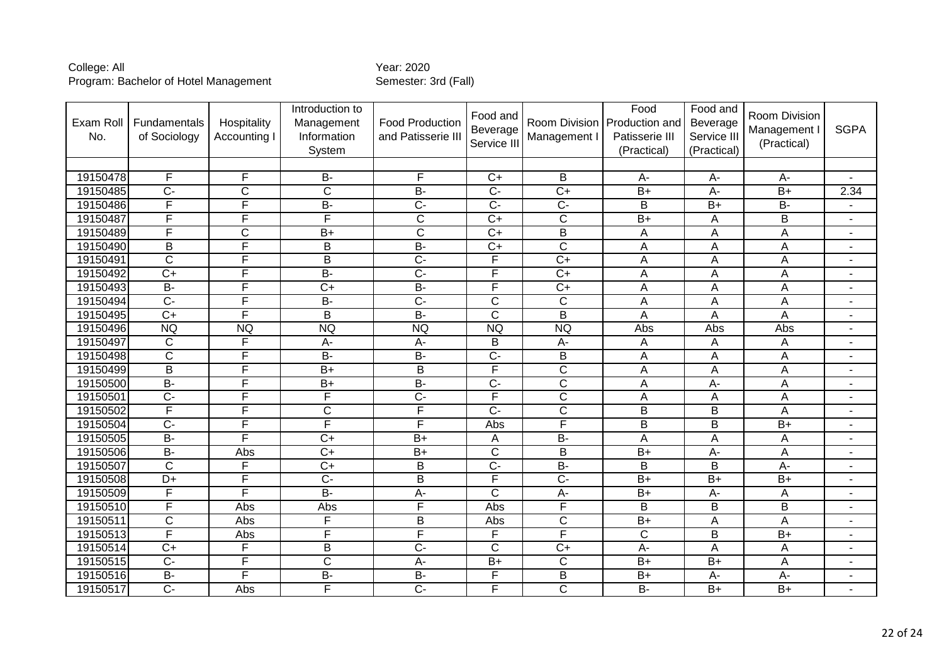| Exam Roll<br>No. | Fundamentals<br>of Sociology | Hospitality<br>Accounting I | Introduction to<br>Management<br>Information<br>System | <b>Food Production</b><br>and Patisserie III | Food and<br>Beverage<br>Service III | Management I            | Food<br>Room Division   Production and<br>Patisserie III<br>(Practical) | Food and<br>Beverage<br>Service III<br>(Practical) | Room Division<br>Management I<br>(Practical) | <b>SGPA</b>              |
|------------------|------------------------------|-----------------------------|--------------------------------------------------------|----------------------------------------------|-------------------------------------|-------------------------|-------------------------------------------------------------------------|----------------------------------------------------|----------------------------------------------|--------------------------|
|                  |                              |                             |                                                        |                                              |                                     |                         |                                                                         |                                                    |                                              |                          |
| 19150478         | F                            | F                           | <b>B-</b>                                              | F                                            | $C+$                                | B                       | A-                                                                      | $A-$                                               | $A -$                                        | $\blacksquare$           |
| 19150485         | $\overline{C}$               | $\overline{C}$              | $\overline{\text{c}}$                                  | $B -$                                        | $\overline{C}$                      | $\overline{C+}$         | $B+$                                                                    | $A -$                                              | $\overline{B+}$                              | 2.34                     |
| 19150486         | F                            | F                           | $B -$                                                  | $\overline{C}$                               | $\overline{C}$                      | $\overline{C}$          | B                                                                       | $B+$                                               | <b>B-</b>                                    |                          |
| 19150487         | F                            | $\overline{\mathsf{F}}$     | F                                                      | $\overline{\text{C}}$                        | $\overline{C+}$                     | $\overline{\text{c}}$   | $\overline{B+}$                                                         | A                                                  | $\overline{\mathsf{B}}$                      | $\overline{\phantom{a}}$ |
| 19150489         | F                            | $\overline{C}$              | $\overline{B+}$                                        | $\overline{\text{c}}$                        | $\overline{C+}$                     | $\overline{B}$          | A                                                                       | A                                                  | A                                            | $\blacksquare$           |
| 19150490         | B                            | F                           | $\overline{B}$                                         | $\overline{B}$                               | $\overline{C}$                      | $\overline{\text{c}}$   | Α                                                                       | A                                                  | A                                            | $\blacksquare$           |
| 19150491         | $\overline{\text{c}}$        | F                           | $\overline{B}$                                         | $\overline{C}$                               | F                                   | $\overline{C+}$         | A                                                                       | A                                                  | A                                            | $\blacksquare$           |
| 19150492         | $\overline{C+}$              | F                           | $B -$                                                  | $\overline{C}$                               | F                                   | $\overline{C+}$         | A                                                                       | A                                                  | A                                            | $\blacksquare$           |
| 19150493         | $B -$                        | F                           | $\overline{C}$                                         | $\overline{B}$                               | F                                   | $\overline{C+}$         | A                                                                       | A                                                  | A                                            | $\blacksquare$           |
| 19150494         | $\overline{C}$               | F                           | $B -$                                                  | $\overline{C}$                               | C                                   | $\overline{C}$          | Α                                                                       | A                                                  | A                                            | $\blacksquare$           |
| 19150495         | $C+$                         | F                           | $\overline{B}$                                         | $B -$                                        | $\overline{\text{c}}$               | $\overline{B}$          | A                                                                       | A                                                  | A                                            | $\overline{\phantom{a}}$ |
| 19150496         | <b>NQ</b>                    | <b>NQ</b>                   | <b>NQ</b>                                              | <b>NQ</b>                                    | <b>NQ</b>                           | <b>NQ</b>               | Abs                                                                     | Abs                                                | Abs                                          | $\blacksquare$           |
| 19150497         | $\mathsf{C}$                 | F                           | $A-$                                                   | A-                                           | B                                   | $A-$                    | Α                                                                       | A                                                  | Α                                            | $\blacksquare$           |
| 19150498         | $\overline{\text{c}}$        | F                           | $\overline{B}$                                         | $\overline{B}$                               | $\overline{C}$                      | $\overline{B}$          | Ā                                                                       | A                                                  | $\overline{A}$                               | $\blacksquare$           |
| 19150499         | B                            | F                           | $\overline{B+}$                                        | B                                            | F                                   | $\overline{C}$          | A                                                                       | A                                                  | A                                            | $\blacksquare$           |
| 19150500         | $\overline{B}$               | F                           | $\overline{B+}$                                        | $\overline{B}$                               | $\overline{C}$                      | $\overline{\text{c}}$   | A                                                                       | $\overline{A}$                                     | A                                            | $\blacksquare$           |
| 19150501         | $\overline{C}$               | F                           | F                                                      | $\overline{C}$                               | F                                   | $\overline{\mathsf{C}}$ | Ā                                                                       | $\overline{A}$                                     | A                                            | $\blacksquare$           |
| 19150502         | F                            | F                           | $\overline{\text{c}}$                                  | $\overline{\mathsf{F}}$                      | $\overline{C}$                      | $\overline{\text{c}}$   | $\overline{\mathsf{B}}$                                                 | $\overline{B}$                                     | A                                            | $\blacksquare$           |
| 19150504         | $\overline{C}$               | F                           | F                                                      | F                                            | Abs                                 | F                       | $\overline{\mathsf{B}}$                                                 | B                                                  | $B+$                                         | $\blacksquare$           |
| 19150505         | $B -$                        | F                           | $\overline{C}$                                         | $\overline{B+}$                              | Α                                   | $B -$                   | Ā                                                                       | A                                                  | A                                            | $\blacksquare$           |
| 19150506         | $B -$                        | Abs                         | $\overline{C+}$                                        | $\overline{B+}$                              | $\overline{\text{c}}$               | $\overline{B}$          | $B+$                                                                    | $A -$                                              | A                                            | $\blacksquare$           |
| 19150507         | $\overline{C}$               | F                           | $\overline{C}$                                         | $\sf B$                                      | $\overline{C}$                      | $B -$                   | B                                                                       | B                                                  | A-                                           | $\blacksquare$           |
| 19150508         | $\overline{D+}$              | F                           | $\overline{C}$                                         | $\overline{B}$                               | F                                   | $\overline{C}$          | $B+$                                                                    | $B+$                                               | $\overline{B+}$                              | $\blacksquare$           |
| 19150509         | F                            | F                           | $B -$                                                  | $A -$                                        | C                                   | А-                      | $B+$                                                                    | $A-$                                               | Α                                            | L.                       |
| 19150510         | F                            | Abs                         | Abs                                                    | F                                            | Abs                                 | $\overline{\mathsf{F}}$ | B                                                                       | B                                                  | B                                            | $\blacksquare$           |
| 19150511         | $\overline{\mathsf{C}}$      | Abs                         | F                                                      | $\overline{B}$                               | Abs                                 | $\overline{\mathsf{C}}$ | $B+$                                                                    | A                                                  | $\overline{A}$                               | $\blacksquare$           |
| 19150513         | F                            | Abs                         | F                                                      | F                                            | F                                   | F                       | $\mathsf C$                                                             | B                                                  | $B+$                                         | $\blacksquare$           |
| 19150514         | $\overline{C}$               | $\overline{\mathsf{F}}$     | $\overline{B}$                                         | $\overline{C}$                               | $\overline{\text{c}}$               | $\overline{C+}$         | $\overline{A}$ -                                                        | A                                                  | A                                            | $\blacksquare$           |
| 19150515         | $\overline{C}$               | F                           | $\overline{C}$                                         | $A -$                                        | $\overline{B+}$                     | C                       | $B+$                                                                    | $B+$                                               | A                                            | $\blacksquare$           |
| 19150516         | $B -$                        | F                           | $\overline{B}$                                         | $\overline{B}$                               | F                                   | $\overline{B}$          | $B+$                                                                    | $A -$                                              | A-                                           | $\blacksquare$           |
| 19150517         | $\overline{C}$               | Abs                         | F                                                      | $\overline{C}$                               | F                                   | $\overline{C}$          | $B -$                                                                   | $\overline{B+}$                                    | $B+$                                         | $\blacksquare$           |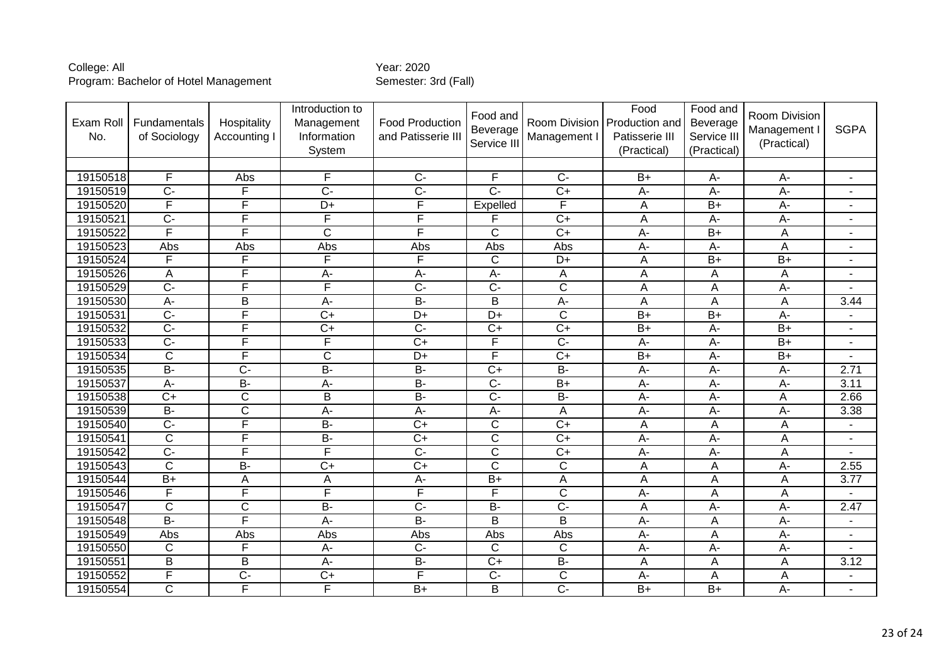| Exam Roll<br>No. | Fundamentals<br>of Sociology | Hospitality<br>Accounting I | Introduction to<br>Management<br>Information<br>System | <b>Food Production</b><br>and Patisserie III | Food and<br>Beverage<br>Service III | Room Division<br>Management I | Food<br>Production and<br>Patisserie III<br>(Practical) | Food and<br>Beverage<br>Service III<br>(Practical) | Room Division<br>Management I<br>(Practical) | <b>SGPA</b>       |
|------------------|------------------------------|-----------------------------|--------------------------------------------------------|----------------------------------------------|-------------------------------------|-------------------------------|---------------------------------------------------------|----------------------------------------------------|----------------------------------------------|-------------------|
|                  |                              |                             |                                                        |                                              |                                     |                               |                                                         |                                                    |                                              |                   |
| 19150518         | F                            | Abs                         | F                                                      | $\overline{C}$                               | F                                   | $\overline{C}$                | $B+$                                                    | А-                                                 | А-                                           | ٠                 |
| 19150519         | $\overline{C}$ -             | F                           | $\overline{C}$                                         | $\overline{C}$                               | $\overline{C}$ -                    | $\overline{C+}$               | $\overline{A}$ -                                        | $A -$                                              | $\overline{A}$ -                             | $\blacksquare$    |
| 19150520         | F                            | F                           | D+                                                     | F                                            | Expelled                            | F                             | A                                                       | $B+$                                               | A-                                           | $\blacksquare$    |
| 19150521         | $\overline{C}$               | F                           | F                                                      | F                                            | F                                   | $C+$                          | A                                                       | A-                                                 | $A -$                                        | $\blacksquare$    |
| 19150522         | F                            | F                           | $\overline{\text{c}}$                                  | F                                            | $\overline{\text{c}}$               | $\overline{C+}$               | $\overline{A}$                                          | $B+$                                               | A                                            | $\blacksquare$    |
| 19150523         | Abs                          | Abs                         | Abs                                                    | Abs                                          | Abs                                 | Abs                           | A-                                                      | A-                                                 | A                                            | $\blacksquare$    |
| 19150524         | F                            | F                           | F                                                      | F                                            | $\mathsf{C}$                        | $\overline{D+}$               | A                                                       | $\overline{B+}$                                    | $\overline{B+}$                              | $\blacksquare$    |
| 19150526         | Α                            | F                           | A-                                                     | A-                                           | $\overline{A}$ -                    | A                             | Α                                                       | A                                                  | Α                                            |                   |
| 19150529         | $\overline{C}$ -             | F                           | F                                                      | $\overline{C}$                               | $\overline{C}$                      | $\overline{C}$                | A                                                       | A                                                  | A-                                           |                   |
| 19150530         | A-                           | B                           | A-                                                     | $\overline{B}$                               | B                                   | A-                            | A                                                       | Α                                                  | A                                            | 3.44              |
| 19150531         | $\overline{C}$               | F                           | $\overline{C+}$                                        | $\overline{D+}$                              | $\overline{D+}$                     | $\overline{\text{c}}$         | $B+$                                                    | $\overline{B+}$                                    | $\overline{A}$ -                             | ٠                 |
| 19150532         | $\overline{C}$               | F                           | $C+$                                                   | $\overline{C}$                               | $C+$                                | $\overline{C}$                | $B+$                                                    | $A-$                                               | $B+$                                         | $\blacksquare$    |
| 19150533         | $\overline{C}$ -             | F                           | F                                                      | $\overline{C+}$                              | F                                   | $\overline{C}$                | $\overline{A}$                                          | $\overline{A}$                                     | $\overline{B+}$                              | $\blacksquare$    |
| 19150534         | $\overline{\text{c}}$        | F                           | C                                                      | $\overline{D+}$                              | F                                   | $\overline{C+}$               | $\overline{B+}$                                         | $\overline{A}$                                     | $\overline{B+}$                              | $\blacksquare$    |
| 19150535         | $\overline{B}$               | $\overline{C}$              | $B -$                                                  | $\overline{B}$                               | $\overline{C+}$                     | $B -$                         | A-                                                      | A-                                                 | A-                                           | 2.71              |
| 19150537         | $\overline{A}$               | $\overline{B}$              | A-                                                     | $\overline{B}$                               | $\overline{C}$                      | $\overline{B+}$               | $\overline{A}$                                          | $A -$                                              | $\overline{A}$ -                             | 3.11              |
| 19150538         | $\overline{C}$               | $\overline{C}$              | $\overline{B}$                                         | B-                                           | $\overline{C}$                      | $\overline{B}$                | $\overline{A}$ -                                        | $\overline{A}$                                     | A                                            | 2.66              |
| 19150539         | $B -$                        | $\overline{\text{C}}$       | $A -$                                                  | $\overline{A}$                               | $\overline{A}$ -                    | A                             | A-                                                      | A-                                                 | $A -$                                        | 3.38              |
| 19150540         | $\overline{C}$               | F                           | <b>B-</b>                                              | $C+$                                         | $\mathsf{C}$                        | $C+$                          | A                                                       | A                                                  | А                                            | ٠                 |
| 19150541         | $\overline{\text{c}}$        | F                           | $\overline{B}$                                         | $\overline{C+}$                              | $\overline{\text{c}}$               | $\overline{C+}$               | $A -$                                                   | $\overline{A}$ -                                   | A                                            | $\blacksquare$    |
| 19150542         | $\overline{C}$               | F                           | F                                                      | $\overline{C}$                               | $\mathsf{C}$                        | $C+$                          | A-                                                      | A-                                                 | A                                            |                   |
| 19150543         | $\overline{C}$               | $\overline{B}$              | $\overline{C+}$                                        | $\overline{C+}$                              | $\overline{\text{c}}$               | $\overline{C}$                | A                                                       | A                                                  | A-                                           | 2.55              |
| 19150544         | $B+$                         | A                           | Α                                                      | $A -$                                        | $B+$                                | A                             | A                                                       | A                                                  | A                                            | $\overline{3.77}$ |
| 19150546         | F                            | F                           | F                                                      | $\overline{\mathsf{F}}$                      | F                                   | $\overline{C}$                | A-                                                      | A                                                  | A                                            |                   |
| 19150547         | $\mathsf{C}$                 | $\mathsf{C}$                | $B -$                                                  | $\overline{C}$                               | <b>B-</b>                           | $\overline{C}$                | Α                                                       | $A -$                                              | A-                                           | 2.47              |
| 19150548         | $B -$                        | F                           | A-                                                     | $B -$                                        | $\overline{B}$                      | $\overline{B}$                | A-                                                      | Α                                                  | $A-$                                         | $\blacksquare$    |
| 19150549         | Abs                          | Abs                         | Abs                                                    | Abs                                          | Abs                                 | Abs                           | A-                                                      | A                                                  | $A -$                                        | $\blacksquare$    |
| 19150550         | $\mathsf{C}$                 | F                           | A-                                                     | $\overline{C}$                               | $\mathsf C$                         | $\mathsf{C}$                  | A-                                                      | A-                                                 | $A -$                                        |                   |
| 19150551         | $\overline{B}$               | $\overline{B}$              | $\overline{A}$ -                                       | $B -$                                        | $\overline{C+}$                     | $\overline{B}$                | A                                                       | A                                                  | A                                            | 3.12              |
| 19150552         | F                            | $\overline{C}$              | $\overline{C}$                                         | F                                            | $\overline{C}$                      | $\overline{C}$                | A-                                                      | A                                                  | A                                            | $\blacksquare$    |
| 19150554         | $\overline{\text{c}}$        | F                           | F                                                      | $B+$                                         | B                                   | $\overline{C}$                | $B+$                                                    | $B+$                                               | A-                                           |                   |